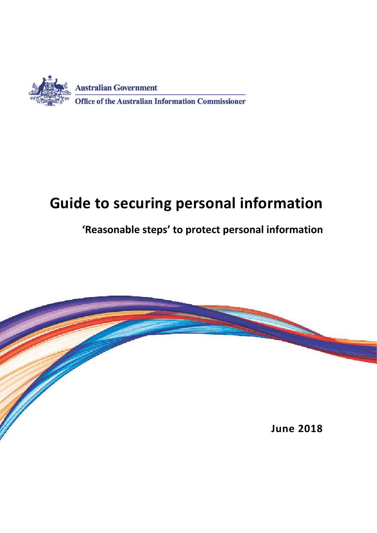

# **Guide to securing personal information**

## **'Reasonable steps' to protect personal information**

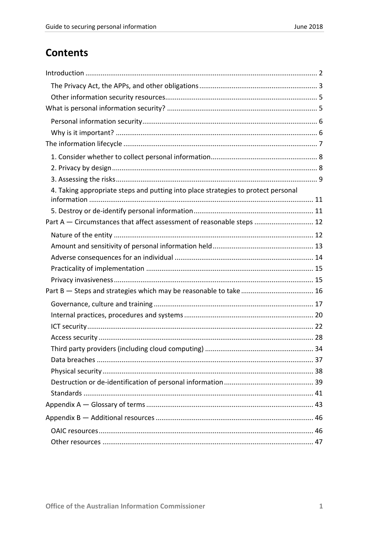## **Contents**

| 4. Taking appropriate steps and putting into place strategies to protect personal |  |
|-----------------------------------------------------------------------------------|--|
|                                                                                   |  |
| Part A - Circumstances that affect assessment of reasonable steps  12             |  |
|                                                                                   |  |
|                                                                                   |  |
|                                                                                   |  |
|                                                                                   |  |
|                                                                                   |  |
|                                                                                   |  |
|                                                                                   |  |
|                                                                                   |  |
|                                                                                   |  |
|                                                                                   |  |
|                                                                                   |  |
|                                                                                   |  |
|                                                                                   |  |
|                                                                                   |  |
|                                                                                   |  |
|                                                                                   |  |
|                                                                                   |  |
|                                                                                   |  |
|                                                                                   |  |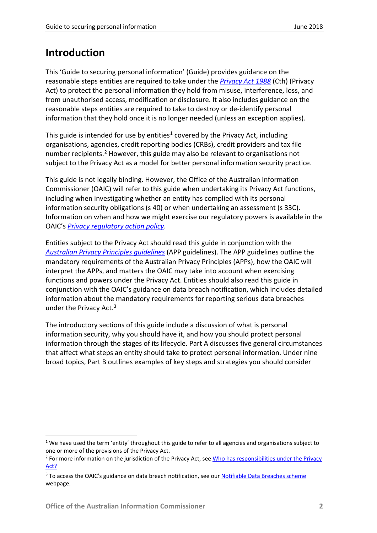## <span id="page-2-0"></span>**Introduction**

This 'Guide to securing personal information' (Guide) provides guidance on the reasonable steps entities are required to take under the *[Privacy Act 1988](http://www.comlaw.gov.au/Series/C2004A03712)* (Cth) (Privacy Act) to protect the personal information they hold from misuse, interference, loss, and from unauthorised access, modification or disclosure. It also includes guidance on the reasonable steps entities are required to take to destroy or de-identify personal information that they hold once it is no longer needed (unless an exception applies).

This guide is intended for use by entities<sup>[1](#page-2-1)</sup> covered by the Privacy Act, including organisations, agencies, credit reporting bodies (CRBs), credit providers and tax file number recipients.<sup>[2](#page-2-2)</sup> However, this guide may also be relevant to organisations not subject to the Privacy Act as a model for better personal information security practice.

This guide is not legally binding. However, the Office of the Australian Information Commissioner (OAIC) will refer to this guide when undertaking its Privacy Act functions, including when investigating whether an entity has complied with its personal information security obligations (s 40) or when undertaking an assessment (s 33C). Information on when and how we might exercise our regulatory powers is available in the OAIC's *[Privacy regulatory action policy](https://www.oaic.gov.au/about-us/our-regulatory-approach/privacy-regulatory-action-policy/)*.

Entities subject to the Privacy Act should read this guide in conjunction with the *[Australian Privacy Principles guidelines](https://www.oaic.gov.au/agencies-and-organisations/app-guidelines/)* (APP guidelines). The APP guidelines outline the mandatory requirements of the Australian Privacy Principles (APPs), how the OAIC will interpret the APPs, and matters the OAIC may take into account when exercising functions and powers under the Privacy Act. Entities should also read this guide in conjunction with the OAIC's guidance on data breach notification, which includes detailed information about the mandatory requirements for reporting serious data breaches under the Privacy Act.<sup>[3](#page-2-3)</sup>

The introductory sections of this guide include a discussion of what is personal information security, why you should have it, and how you should protect personal information through the stages of its lifecycle. Part A discusses five general circumstances that affect what steps an entity should take to protect personal information. Under nine broad topics, Part B outlines examples of key steps and strategies you should consider

<span id="page-2-1"></span> $1$  We have used the term 'entity' throughout this guide to refer to all agencies and organisations subject to one or more of the provisions of the Privacy Act.

<span id="page-2-2"></span><sup>&</sup>lt;sup>2</sup> For more information on the jurisdiction of the Privacy Act, see Who has responsibilities under the Privacy [Act?](https://www.oaic.gov.au/privacy-law/rights-and-responsibilities#who-has-responsibilities-under-the-privacy-act)

<span id="page-2-3"></span><sup>&</sup>lt;sup>3</sup> To access the OAIC's guidance on data breach notification, see ou[r Notifiable Data Breaches scheme](https://www.oaic.gov.au/privacy-law/privacy-act/notifiable-data-breaches-scheme) webpage.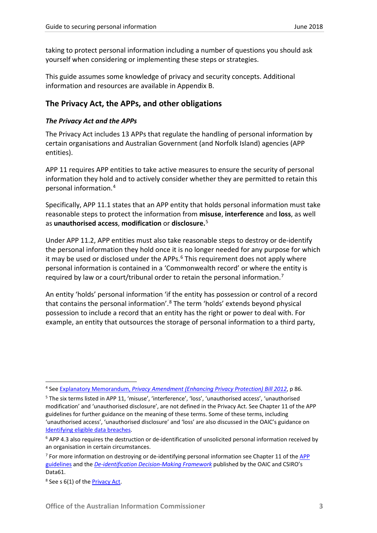taking to protect personal information including a number of questions you should ask yourself when considering or implementing these steps or strategies.

This guide assumes some knowledge of privacy and security concepts. Additional information and resources are available in Appendix B.

## <span id="page-3-0"></span>**The Privacy Act, the APPs, and other obligations**

### *The Privacy Act and the APPs*

The Privacy Act includes 13 APPs that regulate the handling of personal information by certain organisations and Australian Government (and Norfolk Island) agencies (APP entities).

APP 11 requires APP entities to take active measures to ensure the security of personal information they hold and to actively consider whether they are permitted to retain this personal information.[4](#page-3-1)

Specifically, APP 11.1 states that an APP entity that holds personal information must take reasonable steps to protect the information from **misuse**, **interference** and **loss**, as well as **unauthorised access**, **modification** or **disclosure.**[5](#page-3-2)

Under APP 11.2, APP entities must also take reasonable steps to destroy or de-identify the personal information they hold once it is no longer needed for any purpose for which it may be used or disclosed under the APPs.<sup>[6](#page-3-3)</sup> This requirement does not apply where personal information is contained in a 'Commonwealth record' or where the entity is required by law or a court/tribunal order to retain the personal information.[7](#page-3-4)

An entity 'holds' personal information 'if the entity has possession or control of a record that contains the personal information'.[8](#page-3-5) The term 'holds' extends beyond physical possession to include a record that an entity has the right or power to deal with. For example, an entity that outsources the storage of personal information to a third party,

<span id="page-3-1"></span> <sup>4</sup> See Explanatory Memorandum, *[Privacy Amendment \(Enhancing Privacy Protection\) Bill 2012](http://www.comlaw.gov.au/Details/C2012B00077/Explanatory%20Memorandum/Text)*, p 86.

<span id="page-3-2"></span><sup>5</sup> The six terms listed in APP 11, 'misuse', 'interference', 'loss', 'unauthorised access', 'unauthorised modification' and 'unauthorised disclosure', are not defined in the Privacy Act. See Chapter 11 of the APP guidelines for further guidance on the meaning of these terms. Some of these terms, including 'unauthorised access', 'unauthorised disclosure' and 'loss' are also discussed in the OAIC's guidance on [Identifying eligible data breaches.](https://www.oaic.gov.au/privacy-law/privacy-act/notifiable-data-breaches-scheme/identifying-eligible-data-breaches)

<span id="page-3-3"></span><sup>&</sup>lt;sup>6</sup> APP 4.3 also requires the destruction or de-identification of unsolicited personal information received by an organisation in certain circumstances.

<span id="page-3-4"></span> $<sup>7</sup>$  For more information on destroving or de-identifying personal information see Chapter 11 of the APP</sup> [guidelines](https://www.oaic.gov.au/agencies-and-organisations/app-guidelines/) and the *[De-identification Decision-Making Framework](https://www.oaic.gov.au/agencies-and-organisations/guides/de-identification-decision-making-framework)* published by the OAIC and CSIRO's Data61.

<span id="page-3-5"></span><sup>&</sup>lt;sup>8</sup> See s 6(1) of the **Privacy Act**.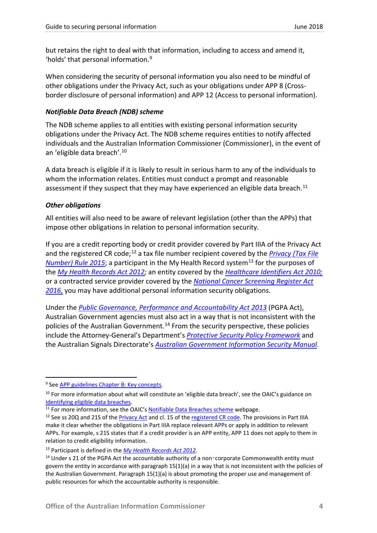but retains the right to deal with that information, including to access and amend it, 'holds' that personal information.[9](#page-4-0)

When considering the security of personal information you also need to be mindful of other obligations under the Privacy Act, such as your obligations under APP 8 (Crossborder disclosure of personal information) and APP 12 (Access to personal information).

## *Notifiable Data Breach (NDB) scheme*

The NDB scheme applies to all entities with existing personal information security obligations under the Privacy Act. The NDB scheme requires entities to notify affected individuals and the Australian Information Commissioner (Commissioner), in the event of an 'eligible data breach'.[10](#page-4-1)

A data breach is eligible if it is likely to result in serious harm to any of the individuals to whom the information relates. Entities must conduct a prompt and reasonable assessment if they suspect that they may have experienced an eligible data breach.<sup>[11](#page-4-2)</sup>

#### *Other obligations*

All entities will also need to be aware of relevant legislation (other than the APPs) that impose other obligations in relation to personal information security.

If you are a credit reporting body or credit provider covered by Part IIIA of the Privacy Act and the registered CR code;[12](#page-4-3) a tax file number recipient covered by the *[Privacy \(Tax File](https://www.legislation.gov.au/Details/F2015L00249)  [Number\) Rule 2015](https://www.legislation.gov.au/Details/F2015L00249)*; a participant in the My Health Record system<sup>[13](#page-4-4)</sup> for the purposes of the *[My Health Records Act 2012;](https://www.legislation.gov.au/Series/C2012A00063)* an entity covered by the *[Healthcare Identifiers Act 2010;](http://www.comlaw.gov.au/Series/C2010A00072)* or a contracted service provider covered by the *[National Cancer Screening Register Act](https://www.legislation.gov.au/Series/C2016A00065)  [2016](https://www.legislation.gov.au/Series/C2016A00065)*, you may have additional personal information security obligations.

Under the *[Public Governance, Performance and Accountability Act 2013](http://www.comlaw.gov.au/Series/C2013A00123)* (PGPA Act), Australian Government agencies must also act in a way that is not inconsistent with the policies of the Australian Government.<sup>[14](#page-4-5)</sup> From the security perspective, these policies include the Attorney-General's Department's *[Protective Security Policy Framework](https://www.protectivesecurity.gov.au/Pages/default.aspx)* and the Australian Signals Directorate's *Australian [Government Information Security Manual](http://www.asd.gov.au/infosec/ism/index.htm)*.

<span id="page-4-0"></span><sup>&</sup>lt;sup>9</sup> Se[e APP guidelines Chapter B: Key concepts.](https://www.oaic.gov.au/agencies-and-organisations/app-guidelines/chapter-b-key-concepts#holds)

<span id="page-4-1"></span> $10$  For more information about what will constitute an 'eligible data breach', see the OAIC's guidance on Identifying eligible data breaches.

<span id="page-4-2"></span><sup>&</sup>lt;sup>11</sup> For more information, see the OAIC'[s Notifiable Data Breaches scheme](https://www.oaic.gov.au/privacy-law/privacy-act/notifiable-data-breaches-scheme) webpage.

<span id="page-4-3"></span> $12$  See ss 20Q and 21S of the [Privacy Act](http://www.comlaw.gov.au/Series/C2004A03712) and cl. 15 of th[e registered CR code.](https://www.oaic.gov.au/privacy-law/privacy-registers/privacy-codes/) The provisions in Part IIIA make it clear whether the obligations in Part IIIA replace relevant APPs or apply in addition to relevant APPs. For example, s 21S states that if a credit provider is an APP entity, APP 11 does not apply to them in relation to credit eligibility information.

<span id="page-4-4"></span><sup>13</sup> Participant is defined in the *[My Health Records Act 2012.](https://www.legislation.gov.au/Series/C2012A00063)*

<span id="page-4-5"></span><sup>&</sup>lt;sup>14</sup> Under s 21 of the PGPA Act the accountable authority of a non-corporate Commonwealth entity must govern the entity in accordance with paragraph 15(1)(a) in a way that is not inconsistent with the policies of the Australian Government. Paragraph 15(1)(a) is about promoting the proper use and management of public resources for which the accountable authority is responsible.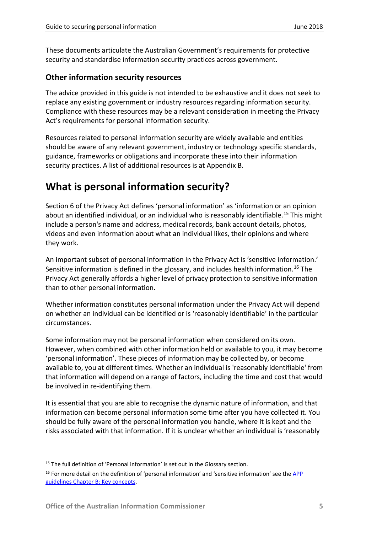These documents articulate the Australian Government's requirements for protective security and standardise information security practices across government.

## <span id="page-5-0"></span>**Other information security resources**

The advice provided in this guide is not intended to be exhaustive and it does not seek to replace any existing government or industry resources regarding information security. Compliance with these resources may be a relevant consideration in meeting the Privacy Act's requirements for personal information security.

Resources related to personal information security are widely available and entities should be aware of any relevant government, industry or technology specific standards, guidance, frameworks or obligations and incorporate these into their information security practices. A list of additional resources is at Appendix B.

## <span id="page-5-1"></span>**What is personal information security?**

Section 6 of the Privacy Act defines 'personal information' as 'information or an opinion about an identified individual, or an individual who is reasonably identifiable.<sup>[15](#page-5-2)</sup> This might include a person's name and address, medical records, bank account details, photos, videos and even information about what an individual likes, their opinions and where they work.

An important subset of personal information in the Privacy Act is 'sensitive information.' Sensitive information is defined in the glossary, and includes health information.<sup>[16](#page-5-3)</sup> The Privacy Act generally affords a higher level of privacy protection to sensitive information than to other personal information.

Whether information constitutes personal information under the Privacy Act will depend on whether an individual can be identified or is 'reasonably identifiable' in the particular circumstances.

Some information may not be personal information when considered on its own. However, when combined with other information held or available to you, it may become 'personal information'. These pieces of information may be collected by, or become available to, you at different times. Whether an individual is 'reasonably identifiable' from that information will depend on a range of factors, including the time and cost that would be involved in re-identifying them.

It is essential that you are able to recognise the dynamic nature of information, and that information can become personal information some time after you have collected it. You should be fully aware of the personal information you handle, where it is kept and the risks associated with that information. If it is unclear whether an individual is 'reasonably

<span id="page-5-2"></span><sup>&</sup>lt;sup>15</sup> The full definition of 'Personal information' is set out in the Glossary section.

<span id="page-5-3"></span><sup>&</sup>lt;sup>16</sup> For more detail on the definition of 'personal information' and 'sensitive information' see the APP guidelines [Chapter B: Key concepts.](https://www.oaic.gov.au/agencies-and-organisations/app-guidelines/chapter-b-key-concepts)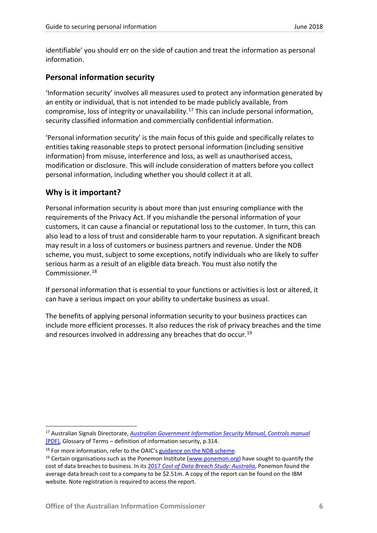identifiable' you should err on the side of caution and treat the information as personal information.

## <span id="page-6-0"></span>**Personal information security**

'Information security' involves all measures used to protect any information generated by an entity or individual, that is not intended to be made publicly available, from compromise, loss of integrity or unavailability.[17](#page-6-2) This can include personal information, security classified information and commercially confidential information.

'Personal information security' is the main focus of this guide and specifically relates to entities taking reasonable steps to protect personal information (including sensitive information) from misuse, interference and loss, as well as unauthorised access, modification or disclosure. This will include consideration of matters before you collect personal information, including whether you should collect it at all.

## <span id="page-6-1"></span>**Why is it important?**

Personal information security is about more than just ensuring compliance with the requirements of the Privacy Act. If you mishandle the personal information of your customers, it can cause a financial or reputational loss to the customer. In turn, this can also lead to a loss of trust and considerable harm to your reputation. A significant breach may result in a loss of customers or business partners and revenue. Under the NDB scheme, you must, subject to some exceptions, notify individuals who are likely to suffer serious harm as a result of an eligible data breach. You must also notify the Commissioner. [18](#page-6-3)

If personal information that is essential to your functions or activities is lost or altered, it can have a serious impact on your ability to undertake business as usual.

The benefits of applying personal information security to your business practices can include more efficient processes. It also reduces the risk of privacy breaches and the time and resources involved in addressing any breaches that do occur.<sup>[19](#page-6-4)</sup>

<span id="page-6-2"></span> <sup>17</sup> Australian Signals Directorate, *[Australian Government Information Security Manual, Controls manual](https://www.asd.gov.au/publications/Information_Security_Manual_2017_Controls.pdf)* [\[PDF\],](https://www.asd.gov.au/publications/Information_Security_Manual_2017_Controls.pdf) Glossary of Terms – definition of information security, p.314.

<span id="page-6-3"></span><sup>&</sup>lt;sup>18</sup> For more information, refer to the OAIC'[s guidance on the NDB scheme.](https://www.oaic.gov.au/privacy-law/privacy-act/notifiable-data-breaches-scheme)

<span id="page-6-4"></span><sup>&</sup>lt;sup>19</sup> Certain organisations such as the Ponemon Institute [\(www.ponemon.org\)](http://www.ponemon.org/) have sought to quantify the cost of data breaches to business. In its 2017 *[Cost of Data Breach Study: Australia](https://www-03.ibm.com/security/au/en/data-breach/)*, Ponemon found the average data breach cost to a company to be \$2.51m. A copy of the report can be found on the IBM website. Note registration is required to access the report.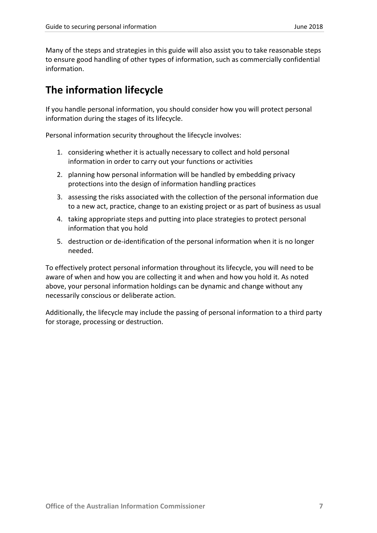Many of the steps and strategies in this guide will also assist you to take reasonable steps to ensure good handling of other types of information, such as commercially confidential information.

## <span id="page-7-0"></span>**The information lifecycle**

If you handle personal information, you should consider how you will protect personal information during the stages of its lifecycle.

Personal information security throughout the lifecycle involves:

- 1. considering whether it is actually necessary to collect and hold personal information in order to carry out your functions or activities
- 2. planning how personal information will be handled by embedding privacy protections into the design of information handling practices
- 3. assessing the risks associated with the collection of the personal information due to a new act, practice, change to an existing project or as part of business as usual
- 4. taking appropriate steps and putting into place strategies to protect personal information that you hold
- 5. destruction or de-identification of the personal information when it is no longer needed.

To effectively protect personal information throughout its lifecycle, you will need to be aware of when and how you are collecting it and when and how you hold it. As noted above, your personal information holdings can be dynamic and change without any necessarily conscious or deliberate action.

Additionally, the lifecycle may include the passing of personal information to a third party for storage, processing or destruction.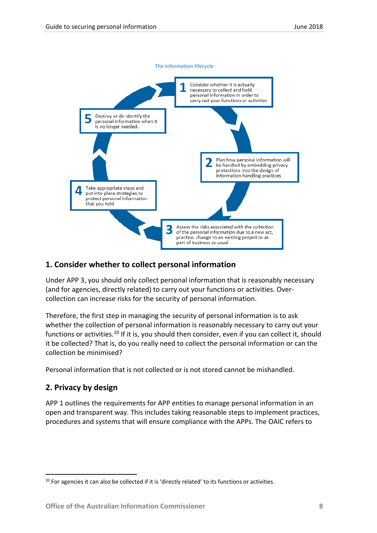

## <span id="page-8-0"></span>**1. Consider whether to collect personal information**

Under APP 3, you should only collect personal information that is reasonably necessary (and for agencies, directly related) to carry out your functions or activities. Overcollection can increase risks for the security of personal information.

Therefore, the first step in managing the security of personal information is to ask whether the collection of personal information is reasonably necessary to carry out your functions or activities.<sup>[20](#page-8-2)</sup> If it is, you should then consider, even if you can collect it, should it be collected? That is, do you really need to collect the personal information or can the collection be minimised?

Personal information that is not collected or is not stored cannot be mishandled.

## <span id="page-8-1"></span>**2. Privacy by design**

APP 1 outlines the requirements for APP entities to manage personal information in an open and transparent way. This includes taking reasonable steps to implement practices, procedures and systems that will ensure compliance with the APPs. The OAIC refers to

<span id="page-8-2"></span> $20$  For agencies it can also be collected if it is 'directly related' to its functions or activities.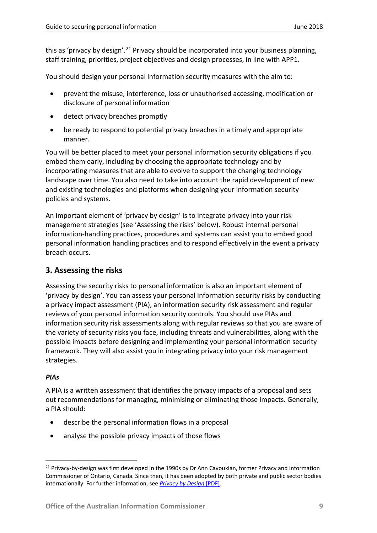this as 'privacy by design'.<sup>[21](#page-9-1)</sup> Privacy should be incorporated into your business planning, staff training, priorities, project objectives and design processes, in line with APP1.

You should design your personal information security measures with the aim to:

- prevent the misuse, interference, loss or unauthorised accessing, modification or disclosure of personal information
- detect privacy breaches promptly
- be ready to respond to potential privacy breaches in a timely and appropriate manner.

You will be better placed to meet your personal information security obligations if you embed them early, including by choosing the appropriate technology and by incorporating measures that are able to evolve to support the changing technology landscape over time. You also need to take into account the rapid development of new and existing technologies and platforms when designing your information security policies and systems.

An important element of 'privacy by design' is to integrate privacy into your risk management strategies (see 'Assessing the risks' below). Robust internal personal information-handling practices, procedures and systems can assist you to embed good personal information handling practices and to respond effectively in the event a privacy breach occurs.

## <span id="page-9-0"></span>**3. Assessing the risks**

Assessing the security risks to personal information is also an important element of 'privacy by design'. You can assess your personal information security risks by conducting a privacy impact assessment (PIA), an information security risk assessment and regular reviews of your personal information security controls. You should use PIAs and information security risk assessments along with regular reviews so that you are aware of the variety of security risks you face, including threats and vulnerabilities, along with the possible impacts before designing and implementing your personal information security framework. They will also assist you in integrating privacy into your risk management strategies.

## *PIAs*

A PIA is a written assessment that identifies the privacy impacts of a proposal and sets out recommendations for managing, minimising or eliminating those impacts. Generally, a PIA should:

- describe the personal information flows in a proposal
- analyse the possible privacy impacts of those flows

<span id="page-9-1"></span><sup>&</sup>lt;sup>21</sup> Privacy-by-design was first developed in the 1990s by Dr Ann Cavoukian, former Privacy and Information Commissioner of Ontario, Canada. Since then, it has been adopted by both private and public sector bodies internationally. For further information, see *[Privacy by Design](https://www.ipc.on.ca/wp-content/uploads/2013/09/pbd-primer.pdf)* [PDF].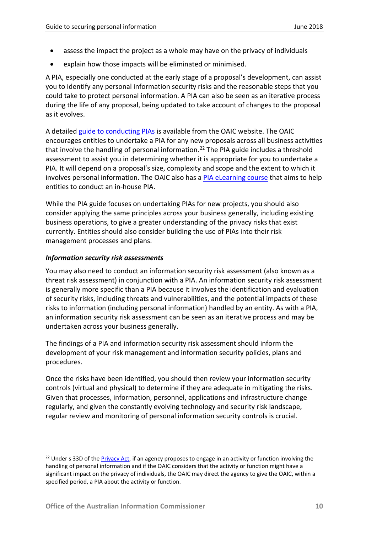- assess the impact the project as a whole may have on the privacy of individuals
- explain how those impacts will be eliminated or minimised.

A PIA, especially one conducted at the early stage of a proposal's development, can assist you to identify any personal information security risks and the reasonable steps that you could take to protect personal information. A PIA can also be seen as an iterative process during the life of any proposal, being updated to take account of changes to the proposal as it evolves.

A detailed [guide to conducting PIAs](https://www.oaic.gov.au/agencies-and-organisations/guides/guide-to-undertaking-privacy-impact-assessments) is available from the OAIC website. The OAIC encourages entities to undertake a PIA for any new proposals across all business activities that involve the handling of personal information.<sup>[22](#page-10-0)</sup> The PIA guide includes a threshold assessment to assist you in determining whether it is appropriate for you to undertake a PIA. It will depend on a proposal's size, complexity and scope and the extent to which it involves personal information. The OAIC also has a [PIA eLearning course](https://www.oaic.gov.au/elearning/pia/) that aims to help entities to conduct an in-house PIA.

While the PIA guide focuses on undertaking PIAs for new projects, you should also consider applying the same principles across your business generally, including existing business operations, to give a greater understanding of the privacy risks that exist currently. Entities should also consider building the use of PIAs into their risk management processes and plans.

## *Information security risk assessments*

You may also need to conduct an information security risk assessment (also known as a threat risk assessment) in conjunction with a PIA. An information security risk assessment is generally more specific than a PIA because it involves the identification and evaluation of security risks, including threats and vulnerabilities, and the potential impacts of these risks to information (including personal information) handled by an entity. As with a PIA, an information security risk assessment can be seen as an iterative process and may be undertaken across your business generally.

The findings of a PIA and information security risk assessment should inform the development of your risk management and information security policies, plans and procedures.

Once the risks have been identified, you should then review your information security controls (virtual and physical) to determine if they are adequate in mitigating the risks. Given that processes, information, personnel, applications and infrastructure change regularly, and given the constantly evolving technology and security risk landscape, regular review and monitoring of personal information security controls is crucial.

<span id="page-10-0"></span><sup>&</sup>lt;sup>22</sup> Under s 33D of th[e Privacy Act,](http://www.comlaw.gov.au/Series/C2004A03712) if an agency proposes to engage in an activity or function involving the handling of personal information and if the OAIC considers that the activity or function might have a significant impact on the privacy of individuals, the OAIC may direct the agency to give the OAIC, within a specified period, a PIA about the activity or function.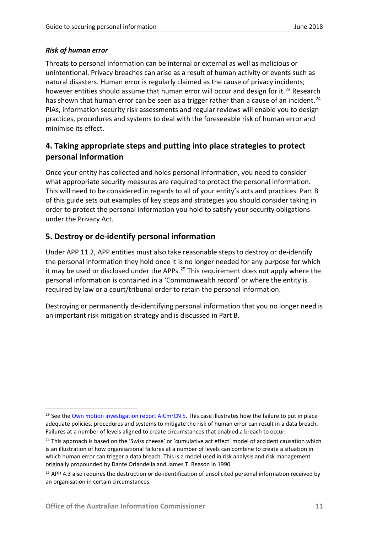## *Risk of human error*

Threats to personal information can be internal or external as well as malicious or unintentional. Privacy breaches can arise as a result of human activity or events such as natural disasters. Human error is regularly claimed as the cause of privacy incidents; however entities should assume that human error will occur and design for it.<sup>[23](#page-11-2)</sup> Research has shown that human error can be seen as a trigger rather than a cause of an incident.<sup>[24](#page-11-3)</sup> PIAs, information security risk assessments and regular reviews will enable you to design practices, procedures and systems to deal with the foreseeable risk of human error and minimise its effect.

## <span id="page-11-0"></span>**4. Taking appropriate steps and putting into place strategies to protect personal information**

Once your entity has collected and holds personal information, you need to consider what appropriate security measures are required to protect the personal information. This will need to be considered in regards to all of your entity's acts and practices. Part B of this guide sets out examples of key steps and strategies you should consider taking in order to protect the personal information you hold to satisfy your security obligations under the Privacy Act.

## <span id="page-11-1"></span>**5. Destroy or de-identify personal information**

Under APP 11.2, APP entities must also take reasonable steps to destroy or de-identify the personal information they hold once it is no longer needed for any purpose for which it may be used or disclosed under the APPs. $25$  This requirement does not apply where the personal information is contained in a 'Commonwealth record' or where the entity is required by law or a court/tribunal order to retain the personal information.

Destroying or permanently de-identifying personal information that you no longer need is an important risk mitigation strategy and is discussed in Part B.

<span id="page-11-2"></span><sup>&</sup>lt;sup>23</sup> See th[e Own motion investigation report AICmrCN 5.](http://www.austlii.edu.au/au/cases/cth/AICmrCN/2014/5.html) This case illustrates how the failure to put in place adequate policies, procedures and systems to mitigate the risk of human error can result in a data breach. Failures at a number of levels aligned to create circumstances that enabled a breach to occur.

<span id="page-11-3"></span><sup>&</sup>lt;sup>24</sup> This approach is based on the 'Swiss cheese' or 'cumulative act effect' model of accident causation which is an illustration of how organisational failures at a number of levels can combine to create a situation in which human error can trigger a data breach. This is a model used in risk analysis and risk management originally propounded by Dante Orlandella and James T. Reason in 1990.

<span id="page-11-4"></span><sup>&</sup>lt;sup>25</sup> APP 4.3 also requires the destruction or de-identification of unsolicited personal information received by an organisation in certain circumstances.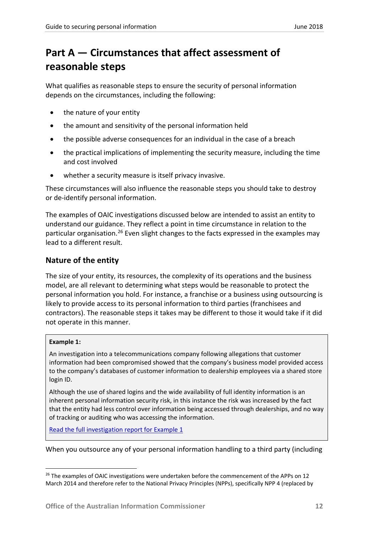## <span id="page-12-0"></span>**Part A — Circumstances that affect assessment of reasonable steps**

What qualifies as reasonable steps to ensure the security of personal information depends on the circumstances, including the following:

- the nature of your entity
- the amount and sensitivity of the personal information held
- the possible adverse consequences for an individual in the case of a breach
- the practical implications of implementing the security measure, including the time and cost involved
- whether a security measure is itself privacy invasive.

These circumstances will also influence the reasonable steps you should take to destroy or de-identify personal information.

The examples of OAIC investigations discussed below are intended to assist an entity to understand our guidance. They reflect a point in time circumstance in relation to the particular organisation.<sup>[26](#page-12-2)</sup> Even slight changes to the facts expressed in the examples may lead to a different result.

## <span id="page-12-1"></span>**Nature of the entity**

The size of your entity, its resources, the complexity of its operations and the business model, are all relevant to determining what steps would be reasonable to protect the personal information you hold. For instance, a franchise or a business using outsourcing is likely to provide access to its personal information to third parties (franchisees and contractors). The reasonable steps it takes may be different to those it would take if it did not operate in this manner.

## **Example 1:**

An investigation into a telecommunications company following allegations that customer information had been compromised showed that the company's business model provided access to the company's databases of customer information to dealership employees via a shared store login ID.

Although the use of shared logins and the wide availability of full identity information is an inherent personal information security risk, in this instance the risk was increased by the fact that the entity had less control over information being accessed through dealerships, and no way of tracking or auditing who was accessing the information.

[Read the full investigation report](https://www.oaic.gov.au/privacy-law/commissioner-initiated-investigation-reports/vodafone-hutchison-australia) for Example 1

When you outsource any of your personal information handling to a third party (including

<span id="page-12-2"></span><sup>&</sup>lt;sup>26</sup> The examples of OAIC investigations were undertaken before the commencement of the APPs on 12 March 2014 and therefore refer to the National Privacy Principles (NPPs), specifically NPP 4 (replaced by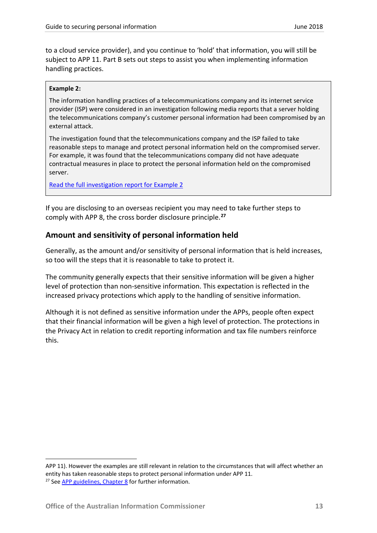to a cloud service provider), and you continue to 'hold' that information, you will still be subject to APP 11. Part B sets out steps to assist you when implementing information handling practices.

#### **Example 2:**

The information handling practices of a telecommunications company and its internet service provider (ISP) were considered in an investigation following media reports that a server holding the telecommunications company's customer personal information had been compromised by an external attack.

The investigation found that the telecommunications company and the ISP failed to take reasonable steps to manage and protect personal information held on the compromised server. For example, it was found that the telecommunications company did not have adequate contractual measures in place to protect the personal information held on the compromised server.

[Read the full investigation report for Example 2](https://www.oaic.gov.au/privacy-law/commissioner-initiated-investigation-reports/aapt-and-melbourne-it-own-motion-investigation-report)

If you are disclosing to an overseas recipient you may need to take further steps to comply with APP 8, the cross border disclosure principle.**[27](#page-13-1)**

## <span id="page-13-0"></span>**Amount and sensitivity of personal information held**

Generally, as the amount and/or sensitivity of personal information that is held increases, so too will the steps that it is reasonable to take to protect it.

The community generally expects that their sensitive information will be given a higher level of protection than non-sensitive information. This expectation is reflected in the increased privacy protections which apply to the handling of sensitive information.

Although it is not defined as sensitive information under the APPs, people often expect that their financial information will be given a high level of protection. The protections in the Privacy Act in relation to credit reporting information and tax file numbers reinforce this.

**.** 

<span id="page-13-1"></span>APP 11). However the examples are still relevant in relation to the circumstances that will affect whether an entity has taken reasonable steps to protect personal information under APP 11. <sup>27</sup> See [APP guidelines, Chapter 8](https://www.oaic.gov.au/agencies-and-organisations/app-guidelines/chapter-8-app-8-cross-border-disclosure-of-personal-information) for further information.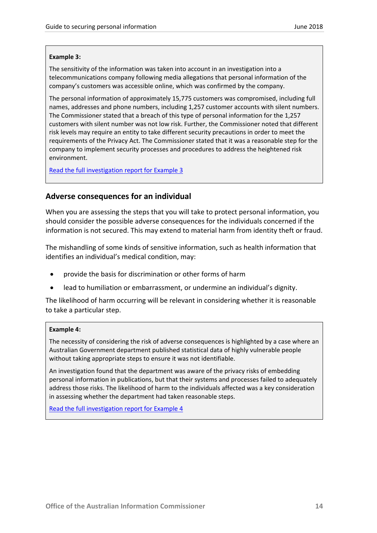#### **Example 3:**

The sensitivity of the information was taken into account in an investigation into a telecommunications company following media allegations that personal information of the company's customers was accessible online, which was confirmed by the company.

The personal information of approximately 15,775 customers was compromised, including full names, addresses and phone numbers, including 1,257 customer accounts with silent numbers. The Commissioner stated that a breach of this type of personal information for the 1,257 customers with silent number was not low risk. Further, the Commissioner noted that different risk levels may require an entity to take different security precautions in order to meet the requirements of the Privacy Act. The Commissioner stated that it was a reasonable step for the company to implement security processes and procedures to address the heightened risk environment.

[Read the full investigation report for Example 3](https://www.oaic.gov.au/privacy-law/commissioner-initiated-investigation-reports/telstra-omi-march-2014)

#### <span id="page-14-0"></span>**Adverse consequences for an individual**

When you are assessing the steps that you will take to protect personal information, you should consider the possible adverse consequences for the individuals concerned if the information is not secured. This may extend to material harm from identity theft or fraud.

The mishandling of some kinds of sensitive information, such as health information that identifies an individual's medical condition, may:

- provide the basis for discrimination or other forms of harm
- lead to humiliation or embarrassment, or undermine an individual's dignity.

The likelihood of harm occurring will be relevant in considering whether it is reasonable to take a particular step.

#### **Example 4:**

The necessity of considering the risk of adverse consequences is highlighted by a case where an Australian Government department published statistical data of highly vulnerable people without taking appropriate steps to ensure it was not identifiable.

An investigation found that the department was aware of the privacy risks of embedding personal information in publications, but that their systems and processes failed to adequately address those risks. The likelihood of harm to the individuals affected was a key consideration in assessing whether the department had taken reasonable steps.

[Read the full investigation report for Example 4](https://www.oaic.gov.au/privacy-law/commissioner-initiated-investigation-reports/dibp-omi)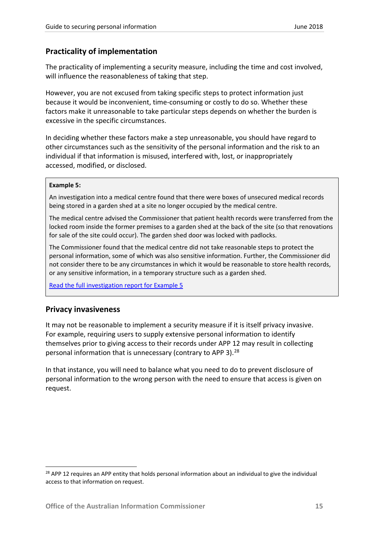## <span id="page-15-0"></span>**Practicality of implementation**

The practicality of implementing a security measure, including the time and cost involved, will influence the reasonableness of taking that step.

However, you are not excused from taking specific steps to protect information just because it would be inconvenient, time-consuming or costly to do so. Whether these factors make it unreasonable to take particular steps depends on whether the burden is excessive in the specific circumstances.

In deciding whether these factors make a step unreasonable, you should have regard to other circumstances such as the sensitivity of the personal information and the risk to an individual if that information is misused, interfered with, lost, or inappropriately accessed, modified, or disclosed.

#### **Example 5:**

An investigation into a medical centre found that there were boxes of unsecured medical records being stored in a garden shed at a site no longer occupied by the medical centre.

The medical centre advised the Commissioner that patient health records were transferred from the locked room inside the former premises to a garden shed at the back of the site (so that renovations for sale of the site could occur). The garden shed door was locked with padlocks.

The Commissioner found that the medical centre did not take reasonable steps to protect the personal information, some of which was also sensitive information. Further, the Commissioner did not consider there to be any circumstances in which it would be reasonable to store health records, or any sensitive information, in a temporary structure such as a garden shed.

[Read the full investigation report for Example 5](https://www.oaic.gov.au/privacy-law/commissioner-initiated-investigation-reports/pound-road-medical-centre-own-motion-investigation-report)

## <span id="page-15-1"></span>**Privacy invasiveness**

It may not be reasonable to implement a security measure if it is itself privacy invasive. For example, requiring users to supply extensive personal information to identify themselves prior to giving access to their records under APP 12 may result in collecting personal information that is unnecessary (contrary to APP 3).<sup>[28](#page-15-2)</sup>

In that instance, you will need to balance what you need to do to prevent disclosure of personal information to the wrong person with the need to ensure that access is given on request.

<span id="page-15-2"></span><sup>&</sup>lt;sup>28</sup> APP 12 requires an APP entity that holds personal information about an individual to give the individual access to that information on request.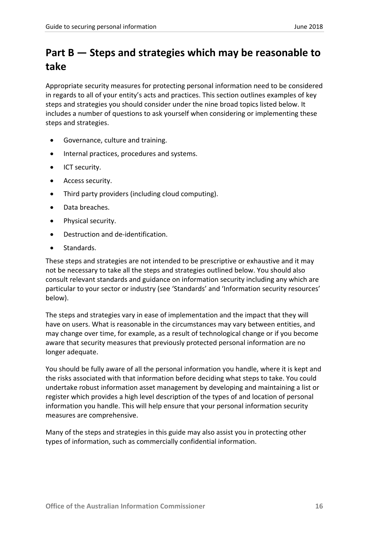## <span id="page-16-0"></span>**Part B — Steps and strategies which may be reasonable to take**

Appropriate security measures for protecting personal information need to be considered in regards to all of your entity's acts and practices. This section outlines examples of key steps and strategies you should consider under the nine broad topics listed below. It includes a number of questions to ask yourself when considering or implementing these steps and strategies.

- Governance, culture and training.
- Internal practices, procedures and systems.
- ICT security.
- Access security.
- Third party providers (including cloud computing).
- Data breaches.
- Physical security.
- Destruction and de-identification.
- Standards.

These steps and strategies are not intended to be prescriptive or exhaustive and it may not be necessary to take all the steps and strategies outlined below. You should also consult relevant standards and guidance on information security including any which are particular to your sector or industry (see 'Standards' and 'Information security resources' below).

The steps and strategies vary in ease of implementation and the impact that they will have on users. What is reasonable in the circumstances may vary between entities, and may change over time, for example, as a result of technological change or if you become aware that security measures that previously protected personal information are no longer adequate.

You should be fully aware of all the personal information you handle, where it is kept and the risks associated with that information before deciding what steps to take. You could undertake robust information asset management by developing and maintaining a list or register which provides a high level description of the types of and location of personal information you handle. This will help ensure that your personal information security measures are comprehensive.

Many of the steps and strategies in this guide may also assist you in protecting other types of information, such as commercially confidential information.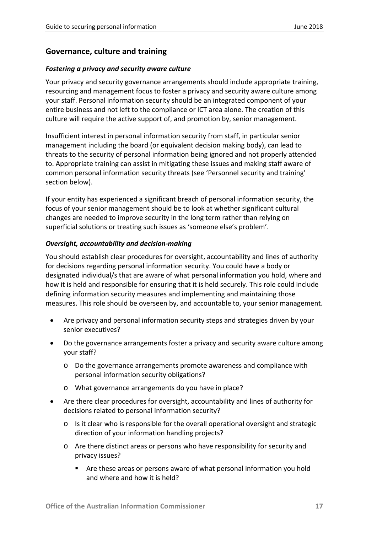## <span id="page-17-0"></span>**Governance, culture and training**

### *Fostering a privacy and security aware culture*

Your privacy and security governance arrangements should include appropriate training, resourcing and management focus to foster a privacy and security aware culture among your staff. Personal information security should be an integrated component of your entire business and not left to the compliance or ICT area alone. The creation of this culture will require the active support of, and promotion by, senior management.

Insufficient interest in personal information security from staff, in particular senior management including the board (or equivalent decision making body), can lead to threats to the security of personal information being ignored and not properly attended to. Appropriate training can assist in mitigating these issues and making staff aware of common personal information security threats (see 'Personnel security and training' section below).

If your entity has experienced a significant breach of personal information security, the focus of your senior management should be to look at whether significant cultural changes are needed to improve security in the long term rather than relying on superficial solutions or treating such issues as 'someone else's problem'.

#### *Oversight, accountability and decision-making*

You should establish clear procedures for oversight, accountability and lines of authority for decisions regarding personal information security. You could have a body or designated individual/s that are aware of what personal information you hold, where and how it is held and responsible for ensuring that it is held securely. This role could include defining information security measures and implementing and maintaining those measures. This role should be overseen by, and accountable to, your senior management.

- Are privacy and personal information security steps and strategies driven by your senior executives?
- Do the governance arrangements foster a privacy and security aware culture among your staff?
	- o Do the governance arrangements promote awareness and compliance with personal information security obligations?
	- o What governance arrangements do you have in place?
- Are there clear procedures for oversight, accountability and lines of authority for decisions related to personal information security?
	- o Is it clear who is responsible for the overall operational oversight and strategic direction of your information handling projects?
	- o Are there distinct areas or persons who have responsibility for security and privacy issues?
		- Are these areas or persons aware of what personal information you hold and where and how it is held?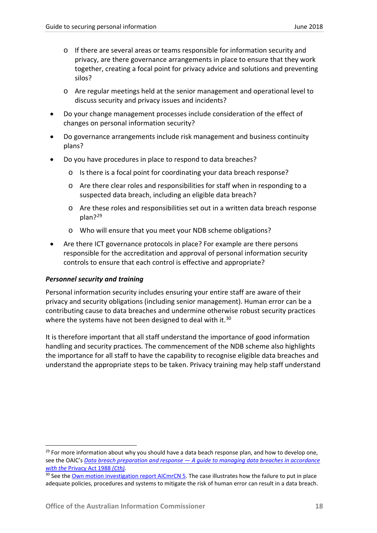- o If there are several areas or teams responsible for information security and privacy, are there governance arrangements in place to ensure that they work together, creating a focal point for privacy advice and solutions and preventing silos?
- o Are regular meetings held at the senior management and operational level to discuss security and privacy issues and incidents?
- Do your change management processes include consideration of the effect of changes on personal information security?
- Do governance arrangements include risk management and business continuity plans?
- Do you have procedures in place to respond to data breaches?
	- o Is there is a focal point for coordinating your data breach response?
	- o Are there clear roles and responsibilities for staff when in responding to a suspected data breach, including an eligible data breach?
	- o Are these roles and responsibilities set out in a written data breach response plan?[29](#page-18-0)
	- o Who will ensure that you meet your NDB scheme obligations?
- Are there ICT governance protocols in place? For example are there persons responsible for the accreditation and approval of personal information security controls to ensure that each control is effective and appropriate?

#### *Personnel security and training*

Personal information security includes ensuring your entire staff are aware of their privacy and security obligations (including senior management). Human error can be a contributing cause to data breaches and undermine otherwise robust security practices where the systems have not been designed to deal with it.<sup>[30](#page-18-1)</sup>

It is therefore important that all staff understand the importance of good information handling and security practices. The commencement of the NDB scheme also highlights the importance for all staff to have the capability to recognise eligible data breaches and understand the appropriate steps to be taken. Privacy training may help staff understand

<span id="page-18-0"></span><sup>&</sup>lt;sup>29</sup> For more information about why you should have a data beach response plan, and how to develop one, see the OAIC's *Data breach preparation and response — [A guide to managing data breaches in accordance](https://www.oaic.gov.au/agencies-and-organisations/guides/data-breach-preparation-and-response)  with the* [Privacy Act 1988](https://www.oaic.gov.au/agencies-and-organisations/guides/data-breach-preparation-and-response) *(Cth).*

<span id="page-18-1"></span><sup>&</sup>lt;sup>30</sup> See th[e Own motion investigation report AICmrCN 5.](http://www.austlii.edu.au/au/cases/cth/AICmrCN/2014/5.html) The case illustrates how the failure to put in place adequate policies, procedures and systems to mitigate the risk of human error can result in a data breach.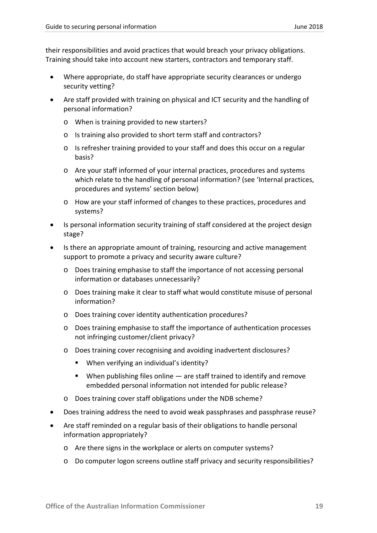their responsibilities and avoid practices that would breach your privacy obligations. Training should take into account new starters, contractors and temporary staff.

- Where appropriate, do staff have appropriate security clearances or undergo security vetting?
- Are staff provided with training on physical and ICT security and the handling of personal information?
	- o When is training provided to new starters?
	- o Is training also provided to short term staff and contractors?
	- o Is refresher training provided to your staff and does this occur on a regular basis?
	- o Are your staff informed of your internal practices, procedures and systems which relate to the handling of personal information? (see 'Internal practices, procedures and systems' section below)
	- o How are your staff informed of changes to these practices, procedures and systems?
- Is personal information security training of staff considered at the project design stage?
- Is there an appropriate amount of training, resourcing and active management support to promote a privacy and security aware culture?
	- o Does training emphasise to staff the importance of not accessing personal information or databases unnecessarily?
	- o Does training make it clear to staff what would constitute misuse of personal information?
	- o Does training cover identity authentication procedures?
	- o Does training emphasise to staff the importance of authentication processes not infringing customer/client privacy?
	- o Does training cover recognising and avoiding inadvertent disclosures?
		- When verifying an individual's identity?
		- $\blacksquare$  When publishing files online  $\blacksquare$  are staff trained to identify and remove embedded personal information not intended for public release?
	- o Does training cover staff obligations under the NDB scheme?
- Does training address the need to avoid weak passphrases and passphrase reuse?
- Are staff reminded on a regular basis of their obligations to handle personal information appropriately?
	- o Are there signs in the workplace or alerts on computer systems?
	- o Do computer logon screens outline staff privacy and security responsibilities?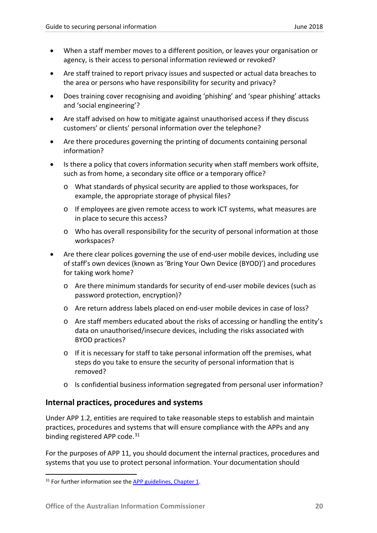- When a staff member moves to a different position, or leaves your organisation or agency, is their access to personal information reviewed or revoked?
- Are staff trained to report privacy issues and suspected or actual data breaches to the area or persons who have responsibility for security and privacy?
- Does training cover recognising and avoiding 'phishing' and 'spear phishing' attacks and 'social engineering'?
- Are staff advised on how to mitigate against unauthorised access if they discuss customers' or clients' personal information over the telephone?
- Are there procedures governing the printing of documents containing personal information?
- Is there a policy that covers information security when staff members work offsite, such as from home, a secondary site office or a temporary office?
	- o What standards of physical security are applied to those workspaces, for example, the appropriate storage of physical files?
	- o If employees are given remote access to work ICT systems, what measures are in place to secure this access?
	- o Who has overall responsibility for the security of personal information at those workspaces?
- Are there clear polices governing the use of end-user mobile devices, including use of staff's own devices (known as 'Bring Your Own Device (BYOD)') and procedures for taking work home?
	- o Are there minimum standards for security of end-user mobile devices (such as password protection, encryption)?
	- o Are return address labels placed on end-user mobile devices in case of loss?
	- o Are staff members educated about the risks of accessing or handling the entity's data on unauthorised/insecure devices, including the risks associated with BYOD practices?
	- $\circ$  If it is necessary for staff to take personal information off the premises, what steps do you take to ensure the security of personal information that is removed?
	- o Is confidential business information segregated from personal user information?

## <span id="page-20-0"></span>**Internal practices, procedures and systems**

Under APP 1.2, entities are required to take reasonable steps to establish and maintain practices, procedures and systems that will ensure compliance with the APPs and any binding registered APP code.<sup>[31](#page-20-1)</sup>

For the purposes of APP 11, you should document the internal practices, procedures and systems that you use to protect personal information. Your documentation should

<span id="page-20-1"></span> $31$  For further information see the APP guidelines. Chapter 1.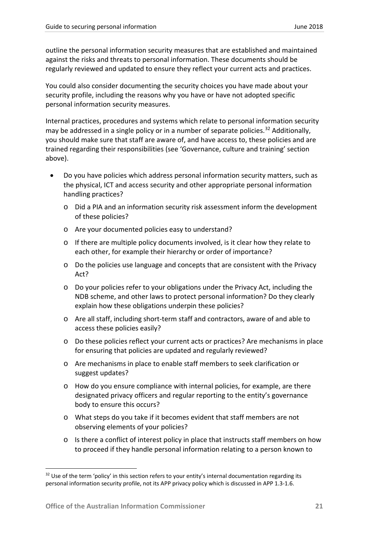outline the personal information security measures that are established and maintained against the risks and threats to personal information. These documents should be regularly reviewed and updated to ensure they reflect your current acts and practices.

You could also consider documenting the security choices you have made about your security profile, including the reasons why you have or have not adopted specific personal information security measures.

Internal practices, procedures and systems which relate to personal information security may be addressed in a single policy or in a number of separate policies.<sup>[32](#page-21-0)</sup> Additionally, you should make sure that staff are aware of, and have access to, these policies and are trained regarding their responsibilities (see 'Governance, culture and training' section above).

- Do you have policies which address personal information security matters, such as the physical, ICT and access security and other appropriate personal information handling practices?
	- o Did a PIA and an information security risk assessment inform the development of these policies?
	- o Are your documented policies easy to understand?
	- o If there are multiple policy documents involved, is it clear how they relate to each other, for example their hierarchy or order of importance?
	- o Do the policies use language and concepts that are consistent with the Privacy Act?
	- o Do your policies refer to your obligations under the Privacy Act, including the NDB scheme, and other laws to protect personal information? Do they clearly explain how these obligations underpin these policies?
	- o Are all staff, including short-term staff and contractors, aware of and able to access these policies easily?
	- o Do these policies reflect your current acts or practices? Are mechanisms in place for ensuring that policies are updated and regularly reviewed?
	- o Are mechanisms in place to enable staff members to seek clarification or suggest updates?
	- o How do you ensure compliance with internal policies, for example, are there designated privacy officers and regular reporting to the entity's governance body to ensure this occurs?
	- o What steps do you take if it becomes evident that staff members are not observing elements of your policies?
	- o Is there a conflict of interest policy in place that instructs staff members on how to proceed if they handle personal information relating to a person known to

<span id="page-21-0"></span> $32$  Use of the term 'policy' in this section refers to your entity's internal documentation regarding its personal information security profile, not its APP privacy policy which is discussed in APP 1.3-1.6.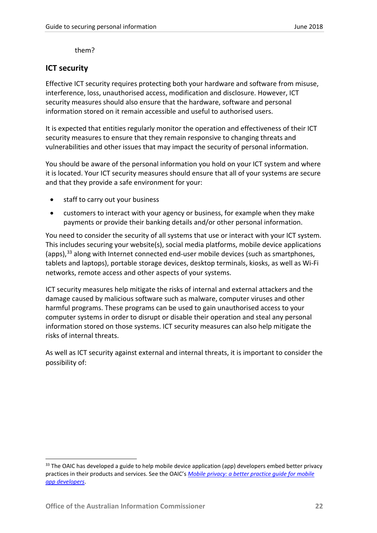them?

## <span id="page-22-0"></span>**ICT security**

Effective ICT security requires protecting both your hardware and software from misuse, interference, loss, unauthorised access, modification and disclosure. However, ICT security measures should also ensure that the hardware, software and personal information stored on it remain accessible and useful to authorised users.

It is expected that entities regularly monitor the operation and effectiveness of their ICT security measures to ensure that they remain responsive to changing threats and vulnerabilities and other issues that may impact the security of personal information.

You should be aware of the personal information you hold on your ICT system and where it is located. Your ICT security measures should ensure that all of your systems are secure and that they provide a safe environment for your:

- staff to carry out your business
- customers to interact with your agency or business, for example when they make payments or provide their banking details and/or other personal information.

You need to consider the security of all systems that use or interact with your ICT system. This includes securing your website(s), social media platforms, mobile device applications (apps),<sup>[33](#page-22-1)</sup> along with Internet connected end-user mobile devices (such as smartphones, tablets and laptops), portable storage devices, desktop terminals, kiosks, as well as Wi-Fi networks, remote access and other aspects of your systems.

ICT security measures help mitigate the risks of internal and external attackers and the damage caused by malicious software such as malware, computer viruses and other harmful programs. These programs can be used to gain unauthorised access to your computer systems in order to disrupt or disable their operation and steal any personal information stored on those systems. ICT security measures can also help mitigate the risks of internal threats.

As well as ICT security against external and internal threats, it is important to consider the possibility of:

<span id="page-22-1"></span><sup>&</sup>lt;sup>33</sup> The OAIC has developed a guide to help mobile device application (app) developers embed better privacy practices in their products and services. See the OAIC's *[Mobile privacy: a better practice guide for mobile](https://www.oaic.gov.au/agencies-and-organisations/guides/guide-for-mobile-app-developers)  [app developers](https://www.oaic.gov.au/agencies-and-organisations/guides/guide-for-mobile-app-developers)*.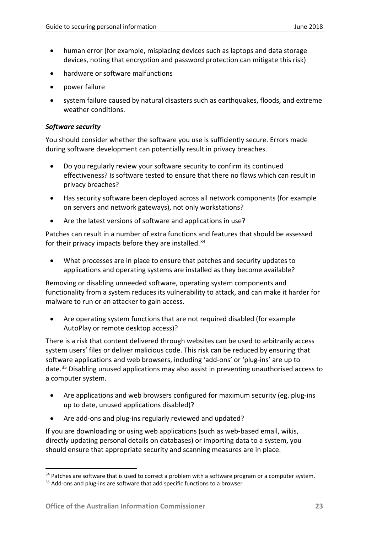- human error (for example, misplacing devices such as laptops and data storage devices, noting that encryption and password protection can mitigate this risk)
- hardware or software malfunctions
- power failure
- system failure caused by natural disasters such as earthquakes, floods, and extreme weather conditions.

### *Software security*

You should consider whether the software you use is sufficiently secure. Errors made during software development can potentially result in privacy breaches.

- Do you regularly review your software security to confirm its continued effectiveness? Is software tested to ensure that there no flaws which can result in privacy breaches?
- Has security software been deployed across all network components (for example on servers and network gateways), not only workstations?
- Are the latest versions of software and applications in use?

Patches can result in a number of extra functions and features that should be assessed for their privacy impacts before they are installed.<sup>[34](#page-23-0)</sup>

• What processes are in place to ensure that patches and security updates to applications and operating systems are installed as they become available?

Removing or disabling unneeded software, operating system components and functionality from a system reduces its vulnerability to attack, and can make it harder for malware to run or an attacker to gain access.

• Are operating system functions that are not required disabled (for example AutoPlay or remote desktop access)?

There is a risk that content delivered through websites can be used to arbitrarily access system users' files or deliver malicious code. This risk can be reduced by ensuring that software applications and web browsers, including 'add-ons' or 'plug-ins' are up to date.[35](#page-23-1) Disabling unused applications may also assist in preventing unauthorised access to a computer system.

- Are applications and web browsers configured for maximum security (eg. plug-ins up to date, unused applications disabled)?
- Are add-ons and plug-ins regularly reviewed and updated?

If you are downloading or using web applications (such as web-based email, wikis, directly updating personal details on databases) or importing data to a system, you should ensure that appropriate security and scanning measures are in place.

<span id="page-23-0"></span><sup>&</sup>lt;sup>34</sup> Patches are software that is used to correct a problem with a software program or a computer system.

<span id="page-23-1"></span> $35$  Add-ons and plug-ins are software that add specific functions to a browser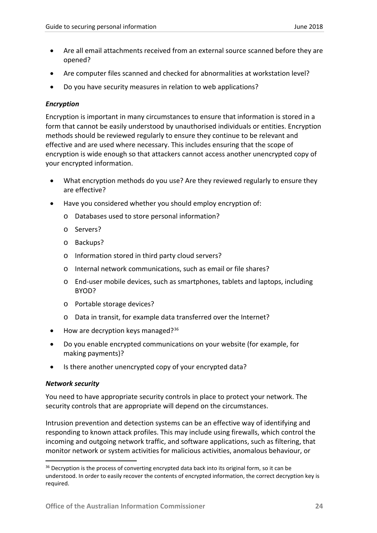- Are all email attachments received from an external source scanned before they are opened?
- Are computer files scanned and checked for abnormalities at workstation level?
- Do you have security measures in relation to web applications?

## *Encryption*

Encryption is important in many circumstances to ensure that information is stored in a form that cannot be easily understood by unauthorised individuals or entities. Encryption methods should be reviewed regularly to ensure they continue to be relevant and effective and are used where necessary. This includes ensuring that the scope of encryption is wide enough so that attackers cannot access another unencrypted copy of your encrypted information.

- What encryption methods do you use? Are they reviewed regularly to ensure they are effective?
- Have you considered whether you should employ encryption of:
	- o Databases used to store personal information?
	- o Servers?
	- o Backups?
	- o Information stored in third party cloud servers?
	- o Internal network communications, such as email or file shares?
	- o End-user mobile devices, such as smartphones, tablets and laptops, including BYOD?
	- o Portable storage devices?
	- o Data in transit, for example data transferred over the Internet?
- $\bullet$  How are decryption keys managed?<sup>[36](#page-24-0)</sup>
- Do you enable encrypted communications on your website (for example, for making payments)?
- Is there another unencrypted copy of your encrypted data?

## *Network security*

You need to have appropriate security controls in place to protect your network. The security controls that are appropriate will depend on the circumstances.

Intrusion prevention and detection systems can be an effective way of identifying and responding to known attack profiles. This may include using firewalls, which control the incoming and outgoing network traffic, and software applications, such as filtering, that monitor network or system activities for malicious activities, anomalous behaviour, or

<span id="page-24-0"></span><sup>&</sup>lt;sup>36</sup> Decryption is the process of converting encrypted data back into its original form, so it can be understood. In order to easily recover the contents of encrypted information, the correct decryption key is required.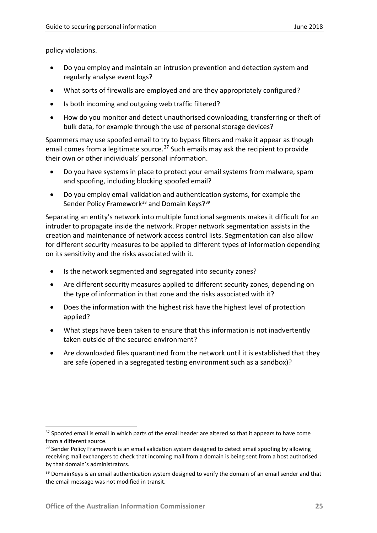policy violations.

- Do you employ and maintain an intrusion prevention and detection system and regularly analyse event logs?
- What sorts of firewalls are employed and are they appropriately configured?
- Is both incoming and outgoing web traffic filtered?
- How do you monitor and detect unauthorised downloading, transferring or theft of bulk data, for example through the use of personal storage devices?

Spammers may use spoofed email to try to bypass filters and make it appear as though email comes from a legitimate source.<sup>[37](#page-25-0)</sup> Such emails may ask the recipient to provide their own or other individuals' personal information.

- Do you have systems in place to protect your email systems from malware, spam and spoofing, including blocking spoofed email?
- Do you employ email validation and authentication systems, for example the Sender Policy Framework<sup>[38](#page-25-1)</sup> and Domain Keys?<sup>[39](#page-25-2)</sup>

Separating an entity's network into multiple functional segments makes it difficult for an intruder to propagate inside the network. Proper network segmentation assists in the creation and maintenance of network access control lists. Segmentation can also allow for different security measures to be applied to different types of information depending on its sensitivity and the risks associated with it.

- Is the network segmented and segregated into security zones?
- Are different security measures applied to different security zones, depending on the type of information in that zone and the risks associated with it?
- Does the information with the highest risk have the highest level of protection applied?
- What steps have been taken to ensure that this information is not inadvertently taken outside of the secured environment?
- Are downloaded files quarantined from the network until it is established that they are safe (opened in a segregated testing environment such as a sandbox)?

<span id="page-25-0"></span><sup>&</sup>lt;sup>37</sup> Spoofed email is email in which parts of the email header are altered so that it appears to have come from a different source.

<span id="page-25-1"></span><sup>&</sup>lt;sup>38</sup> Sender Policy Framework is an email validation system designed to detect email spoofing by allowing receiving mail exchangers to check that incoming mail from a domain is being sent from a host authorised by that domain's administrators.

<span id="page-25-2"></span><sup>&</sup>lt;sup>39</sup> DomainKeys is an email authentication system designed to verify the domain of an email sender and that the email message was not modified in transit.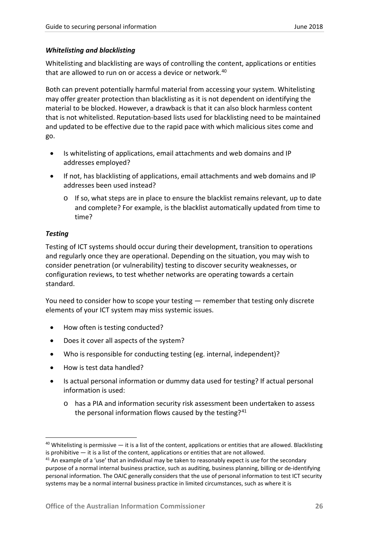## *Whitelisting and blacklisting*

Whitelisting and blacklisting are ways of controlling the content, applications or entities that are allowed to run on or access a device or network.<sup>[40](#page-26-0)</sup>

Both can prevent potentially harmful material from accessing your system. Whitelisting may offer greater protection than blacklisting as it is not dependent on identifying the material to be blocked. However, a drawback is that it can also block harmless content that is not whitelisted. Reputation-based lists used for blacklisting need to be maintained and updated to be effective due to the rapid pace with which malicious sites come and go.

- Is whitelisting of applications, email attachments and web domains and IP addresses employed?
- If not, has blacklisting of applications, email attachments and web domains and IP addresses been used instead?
	- $\circ$  If so, what steps are in place to ensure the blacklist remains relevant, up to date and complete? For example, is the blacklist automatically updated from time to time?

## *Testing*

Testing of ICT systems should occur during their development, transition to operations and regularly once they are operational. Depending on the situation, you may wish to consider penetration (or vulnerability) testing to discover security weaknesses, or configuration reviews, to test whether networks are operating towards a certain standard.

You need to consider how to scope your testing — remember that testing only discrete elements of your ICT system may miss systemic issues.

- How often is testing conducted?
- Does it cover all aspects of the system?
- Who is responsible for conducting testing (eg. internal, independent)?
- How is test data handled?
- Is actual personal information or dummy data used for testing? If actual personal information is used:
	- o has a PIA and information security risk assessment been undertaken to assess the personal information flows caused by the testing? $41$

<span id="page-26-0"></span> $40$  Whitelisting is permissive  $-$  it is a list of the content, applications or entities that are allowed. Blacklisting is prohibitive — it is a list of the content, applications or entities that are not allowed.<br><sup>41</sup> An example of a 'use' that an individual may be taken to reasonably expect is use for the secondary

<span id="page-26-1"></span>purpose of a normal internal business practice, such as auditing, business planning, billing or de-identifying personal information. The OAIC generally considers that the use of personal information to test ICT security systems may be a normal internal business practice in limited circumstances, such as where it is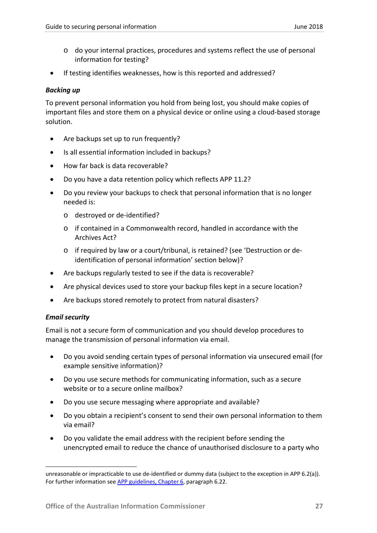- o do your internal practices, procedures and systems reflect the use of personal information for testing?
- If testing identifies weaknesses, how is this reported and addressed?

### *Backing up*

To prevent personal information you hold from being lost, you should make copies of important files and store them on a physical device or online using a cloud-based storage solution.

- Are backups set up to run frequently?
- Is all essential information included in backups?
- How far back is data recoverable?
- Do you have a data retention policy which reflects APP 11.2?
- Do you review your backups to check that personal information that is no longer needed is:
	- o destroyed or de-identified?
	- o if contained in a Commonwealth record, handled in accordance with the Archives Act?
	- o if required by law or a court/tribunal, is retained? (see 'Destruction or deidentification of personal information' section below)?
- Are backups regularly tested to see if the data is recoverable?
- Are physical devices used to store your backup files kept in a secure location?
- Are backups stored remotely to protect from natural disasters?

## *Email security*

 $\overline{a}$ 

Email is not a secure form of communication and you should develop procedures to manage the transmission of personal information via email.

- Do you avoid sending certain types of personal information via unsecured email (for example sensitive information)?
- Do you use secure methods for communicating information, such as a secure website or to a secure online mailbox?
- Do you use secure messaging where appropriate and available?
- Do you obtain a recipient's consent to send their own personal information to them via email?
- Do you validate the email address with the recipient before sending the unencrypted email to reduce the chance of unauthorised disclosure to a party who

unreasonable or impracticable to use de-identified or dummy data (subject to the exception in APP 6.2(a)). For further information se[e APP guidelines, Chapter 6,](https://www.oaic.gov.au/agencies-and-organisations/app-guidelines/chapter-6-app-6-use-or-disclosure-of-personal-information) paragraph 6.22.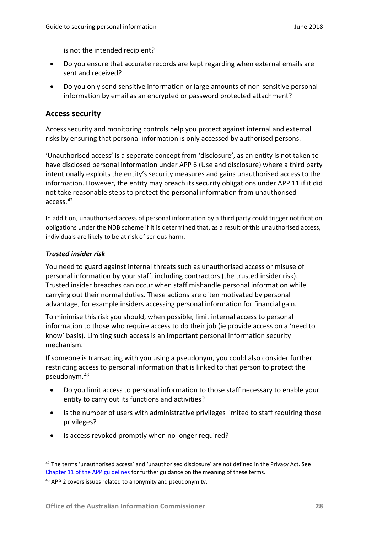is not the intended recipient?

- Do you ensure that accurate records are kept regarding when external emails are sent and received?
- Do you only send sensitive information or large amounts of non-sensitive personal information by email as an encrypted or password protected attachment?

### <span id="page-28-0"></span>**Access security**

Access security and monitoring controls help you protect against internal and external risks by ensuring that personal information is only accessed by authorised persons.

'Unauthorised access' is a separate concept from 'disclosure', as an entity is not taken to have disclosed personal information under APP 6 (Use and disclosure) where a third party intentionally exploits the entity's security measures and gains unauthorised access to the information. However, the entity may breach its security obligations under APP 11 if it did not take reasonable steps to protect the personal information from unauthorised access.[42](#page-28-1)

In addition, unauthorised access of personal information by a third party could trigger notification obligations under the NDB scheme if it is determined that, as a result of this unauthorised access, individuals are likely to be at risk of serious harm.

#### *Trusted insider risk*

You need to guard against internal threats such as unauthorised access or misuse of personal information by your staff, including contractors (the trusted insider risk). Trusted insider breaches can occur when staff mishandle personal information while carrying out their normal duties. These actions are often motivated by personal advantage, for example insiders accessing personal information for financial gain.

To minimise this risk you should, when possible, limit internal access to personal information to those who require access to do their job (ie provide access on a 'need to know' basis). Limiting such access is an important personal information security mechanism.

If someone is transacting with you using a pseudonym, you could also consider further restricting access to personal information that is linked to that person to protect the pseudonym.[43](#page-28-2)

- Do you limit access to personal information to those staff necessary to enable your entity to carry out its functions and activities?
- Is the number of users with administrative privileges limited to staff requiring those privileges?
- Is access revoked promptly when no longer required?

<span id="page-28-1"></span><sup>42</sup> The terms 'unauthorised access' and 'unauthorised disclosure' are not defined in the Privacy Act. See [Chapter 11 of the APP guidelines](https://www.oaic.gov.au/agencies-and-organisations/app-guidelines/chapter-11-app-11-security-of-personal-information) for further guidance on the meaning of these terms.

<span id="page-28-2"></span><sup>&</sup>lt;sup>43</sup> APP 2 covers issues related to anonymity and pseudonymity.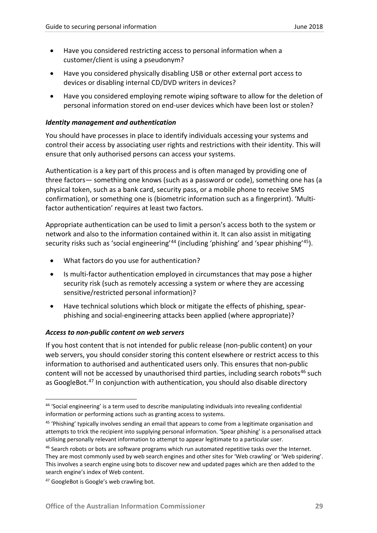- Have you considered restricting access to personal information when a customer/client is using a pseudonym?
- Have you considered physically disabling USB or other external port access to devices or disabling internal CD/DVD writers in devices?
- Have you considered employing remote wiping software to allow for the deletion of personal information stored on end-user devices which have been lost or stolen?

#### *Identity management and authentication*

You should have processes in place to identify individuals accessing your systems and control their access by associating user rights and restrictions with their identity. This will ensure that only authorised persons can access your systems.

Authentication is a key part of this process and is often managed by providing one of three factors— something one knows (such as a password or code), something one has (a physical token, such as a bank card, security pass, or a mobile phone to receive SMS confirmation), or something one is (biometric information such as a fingerprint). 'Multifactor authentication' requires at least two factors.

Appropriate authentication can be used to limit a person's access both to the system or network and also to the information contained within it. It can also assist in mitigating security risks such as 'social engineering'<sup>[44](#page-29-0)</sup> (including 'phishing' and 'spear phishing'<sup>45</sup>).

- What factors do you use for authentication?
- Is multi-factor authentication employed in circumstances that may pose a higher security risk (such as remotely accessing a system or where they are accessing sensitive/restricted personal information)?
- Have technical solutions which block or mitigate the effects of phishing, spearphishing and social-engineering attacks been applied (where appropriate)?

#### *Access to non-public content on web servers*

If you host content that is not intended for public release (non-public content) on your web servers, you should consider storing this content elsewhere or restrict access to this information to authorised and authenticated users only. This ensures that non-public content will not be accessed by unauthorised third parties, including search robots<sup>[46](#page-29-2)</sup> such as GoogleBot.<sup>[47](#page-29-3)</sup> In conjunction with authentication, you should also disable directory

<span id="page-29-0"></span> <sup>44</sup> 'Social engineering' is a term used to describe manipulating individuals into revealing confidential information or performing actions such as granting access to systems.

<span id="page-29-1"></span><sup>&</sup>lt;sup>45</sup> 'Phishing' typically involves sending an email that appears to come from a legitimate organisation and attempts to trick the recipient into supplying personal information. 'Spear phishing' is a personalised attack utilising personally relevant information to attempt to appear legitimate to a particular user.

<span id="page-29-2"></span><sup>&</sup>lt;sup>46</sup> Search robots or bots are software programs which run automated repetitive tasks over the Internet. They are most commonly used by web search engines and other sites for 'Web crawling' or 'Web spidering'. This involves a search engine using bots to discover new and updated pages which are then added to the search engine's index of Web content.

<span id="page-29-3"></span><sup>&</sup>lt;sup>47</sup> GoogleBot is Google's web crawling bot.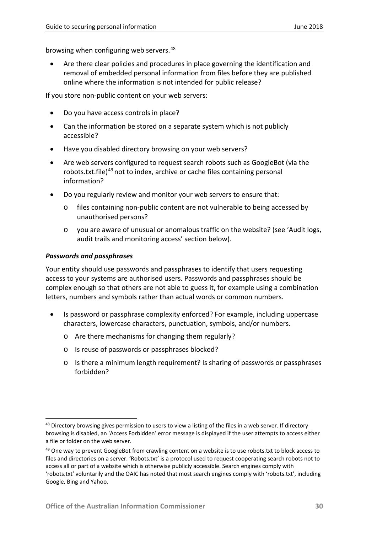browsing when configuring web servers.<sup>[48](#page-30-0)</sup>

• Are there clear policies and procedures in place governing the identification and removal of embedded personal information from files before they are published online where the information is not intended for public release?

If you store non-public content on your web servers:

- Do you have access controls in place?
- Can the information be stored on a separate system which is not publicly accessible?
- Have you disabled directory browsing on your web servers?
- Are web servers configured to request search robots such as GoogleBot (via the robots.txt.file)<sup>[49](#page-30-1)</sup> not to index, archive or cache files containing personal information?
- Do you regularly review and monitor your web servers to ensure that:
	- files containing non-public content are not vulnerable to being accessed by unauthorised persons?
	- o you are aware of unusual or anomalous traffic on the website? (see 'Audit logs, audit trails and monitoring access' section below).

#### *Passwords and passphrases*

Your entity should use passwords and passphrases to identify that users requesting access to your systems are authorised users. Passwords and passphrases should be complex enough so that others are not able to guess it, for example using a combination letters, numbers and symbols rather than actual words or common numbers.

- Is password or passphrase complexity enforced? For example, including uppercase characters, lowercase characters, punctuation, symbols, and/or numbers.
	- o Are there mechanisms for changing them regularly?
	- o Is reuse of passwords or passphrases blocked?
	- o Is there a minimum length requirement? Is sharing of passwords or passphrases forbidden?

<span id="page-30-0"></span><sup>&</sup>lt;sup>48</sup> Directory browsing gives permission to users to view a listing of the files in a web server. If directory browsing is disabled, an 'Access Forbidden' error message is displayed if the user attempts to access either a file or folder on the web server.

<span id="page-30-1"></span><sup>&</sup>lt;sup>49</sup> One way to prevent GoogleBot from crawling content on a website is to use robots.txt to block access to files and directories on a server. 'Robots.txt' is a protocol used to request cooperating search robots not to access all or part of a website which is otherwise publicly accessible. Search engines comply with 'robots.txt' voluntarily and the OAIC has noted that most search engines comply with 'robots.txt', including Google, Bing and Yahoo.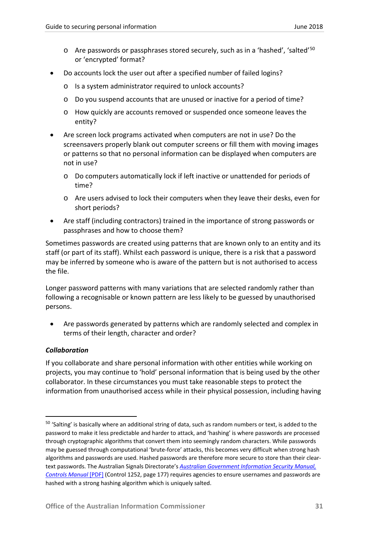- o Are passwords or passphrases stored securely, such as in a 'hashed', 'salted'[50](#page-31-0) or 'encrypted' format?
- Do accounts lock the user out after a specified number of failed logins?
	- o Is a system administrator required to unlock accounts?
	- o Do you suspend accounts that are unused or inactive for a period of time?
	- o How quickly are accounts removed or suspended once someone leaves the entity?
- Are screen lock programs activated when computers are not in use? Do the screensavers properly blank out computer screens or fill them with moving images or patterns so that no personal information can be displayed when computers are not in use?
	- o Do computers automatically lock if left inactive or unattended for periods of time?
	- o Are users advised to lock their computers when they leave their desks, even for short periods?
- Are staff (including contractors) trained in the importance of strong passwords or passphrases and how to choose them?

Sometimes passwords are created using patterns that are known only to an entity and its staff (or part of its staff). Whilst each password is unique, there is a risk that a password may be inferred by someone who is aware of the pattern but is not authorised to access the file.

Longer password patterns with many variations that are selected randomly rather than following a recognisable or known pattern are less likely to be guessed by unauthorised persons.

• Are passwords generated by patterns which are randomly selected and complex in terms of their length, character and order?

#### *Collaboration*

If you collaborate and share personal information with other entities while working on projects, you may continue to 'hold' personal information that is being used by the other collaborator. In these circumstances you must take reasonable steps to protect the information from unauthorised access while in their physical possession, including having

<span id="page-31-0"></span><sup>&</sup>lt;sup>50</sup> 'Salting' is basically where an additional string of data, such as random numbers or text, is added to the password to make it less predictable and harder to attack, and 'hashing' is where passwords are processed through cryptographic algorithms that convert them into seemingly random characters. While passwords may be guessed through computational 'brute-force' attacks, this becomes very difficult when strong hash algorithms and passwords are used. Hashed passwords are therefore more secure to store than their cleartext passwords. The Australian Signals Directorate's *[Australian Government Information Security Manual,](https://www.asd.gov.au/publications/Information_Security_Manual_2017_Controls.pdf) [Controls Manual](https://www.asd.gov.au/publications/Information_Security_Manual_2017_Controls.pdf)* [PDF] (Control 1252, page 177) requires agencies to ensure usernames and passwords are hashed with a strong hashing algorithm which is uniquely salted.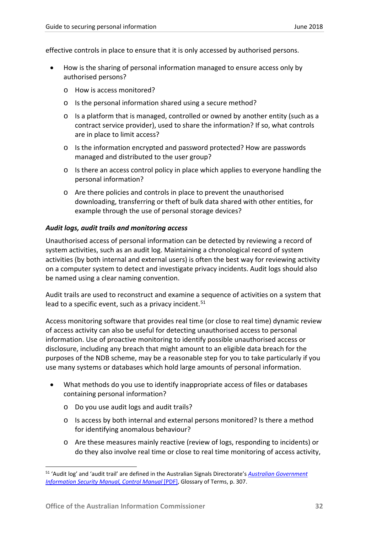effective controls in place to ensure that it is only accessed by authorised persons.

- How is the sharing of personal information managed to ensure access only by authorised persons?
	- o How is access monitored?
	- o Is the personal information shared using a secure method?
	- o Is a platform that is managed, controlled or owned by another entity (such as a contract service provider), used to share the information? If so, what controls are in place to limit access?
	- o Is the information encrypted and password protected? How are passwords managed and distributed to the user group?
	- o Is there an access control policy in place which applies to everyone handling the personal information?
	- o Are there policies and controls in place to prevent the unauthorised downloading, transferring or theft of bulk data shared with other entities, for example through the use of personal storage devices?

#### *Audit logs, audit trails and monitoring access*

Unauthorised access of personal information can be detected by reviewing a record of system activities, such as an audit log. Maintaining a chronological record of system activities (by both internal and external users) is often the best way for reviewing activity on a computer system to detect and investigate privacy incidents. Audit logs should also be named using a clear naming convention.

Audit trails are used to reconstruct and examine a sequence of activities on a system that lead to a specific event, such as a privacy incident.<sup>[51](#page-32-0)</sup>

Access monitoring software that provides real time (or close to real time) dynamic review of access activity can also be useful for detecting unauthorised access to personal information. Use of proactive monitoring to identify possible unauthorised access or disclosure, including any breach that might amount to an eligible data breach for the purposes of the NDB scheme, may be a reasonable step for you to take particularly if you use many systems or databases which hold large amounts of personal information.

- What methods do you use to identify inappropriate access of files or databases containing personal information?
	- o Do you use audit logs and audit trails?
	- o Is access by both internal and external persons monitored? Is there a method for identifying anomalous behaviour?
	- o Are these measures mainly reactive (review of logs, responding to incidents) or do they also involve real time or close to real time monitoring of access activity,

<span id="page-32-0"></span> <sup>51</sup> 'Audit log' and 'audit trail' are defined in the Australian Signals Directorate's *[Australian Government](https://www.asd.gov.au/publications/Information_Security_Manual_2017_Controls.pdf)  [Information Security Manual, Control Manual](https://www.asd.gov.au/publications/Information_Security_Manual_2017_Controls.pdf)* [PDF], Glossary of Terms, p. 307.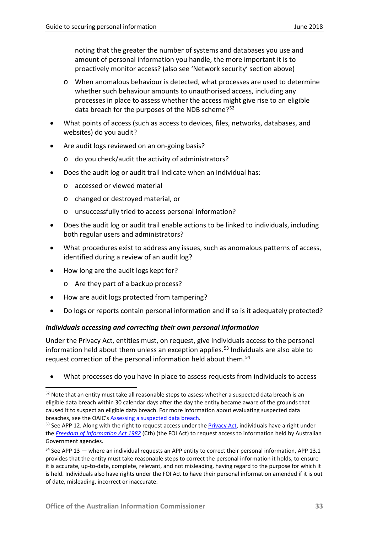noting that the greater the number of systems and databases you use and amount of personal information you handle, the more important it is to proactively monitor access? (also see 'Network security' section above)

- o When anomalous behaviour is detected, what processes are used to determine whether such behaviour amounts to unauthorised access, including any processes in place to assess whether the access might give rise to an eligible data breach for the purposes of the NDB scheme?<sup>[52](#page-33-0)</sup>
- What points of access (such as access to devices, files, networks, databases, and websites) do you audit?
- Are audit logs reviewed on an on-going basis?
	- o do you check/audit the activity of administrators?
- Does the audit log or audit trail indicate when an individual has:
	- o accessed or viewed material
	- o changed or destroyed material, or
	- o unsuccessfully tried to access personal information?
- Does the audit log or audit trail enable actions to be linked to individuals, including both regular users and administrators?
- What procedures exist to address any issues, such as anomalous patterns of access, identified during a review of an audit log?
- How long are the audit logs kept for?
	- o Are they part of a backup process?
- How are audit logs protected from tampering?
- Do logs or reports contain personal information and if so is it adequately protected?

#### *Individuals accessing and correcting their own personal information*

Under the Privacy Act, entities must, on request, give individuals access to the personal information held about them unless an exception applies.<sup>[53](#page-33-1)</sup> Individuals are also able to request correction of the personal information held about them.<sup>[54](#page-33-2)</sup>

• What processes do you have in place to assess requests from individuals to access

<span id="page-33-0"></span><sup>&</sup>lt;sup>52</sup> Note that an entity must take all reasonable steps to assess whether a suspected data breach is an eligible data breach within 30 calendar days after the day the entity became aware of the grounds that caused it to suspect an eligible data breach. For more information about evaluating suspected data breaches, see the OAIC'[s Assessing a suspected data breach.](https://www.oaic.gov.au/privacy-law/privacy-act/notifiable-data-breaches-scheme/assessing-a-suspected-data-breach)

<span id="page-33-1"></span><sup>&</sup>lt;sup>53</sup> See APP 12. Along with the right to request access under the [Privacy Act,](http://www.comlaw.gov.au/Series/C2004A03712) individuals have a right under the *[Freedom of Information Act 1982](http://www.comlaw.gov.au/Series/C2004A02562)* (Cth) (the FOI Act) to request access to information held by Australian Government agencies.

<span id="page-33-2"></span><sup>54</sup> See APP 13 — where an individual requests an APP entity to correct their personal information, APP 13.1 provides that the entity must take reasonable steps to correct the personal information it holds, to ensure it is accurate, up-to-date, complete, relevant, and not misleading, having regard to the purpose for which it is held. Individuals also have rights under the FOI Act to have their personal information amended if it is out of date, misleading, incorrect or inaccurate.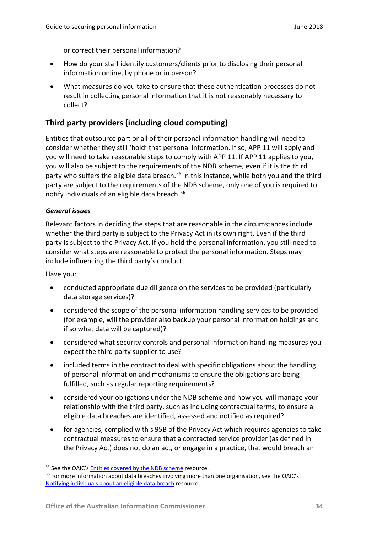or correct their personal information?

- How do your staff identify customers/clients prior to disclosing their personal information online, by phone or in person?
- What measures do you take to ensure that these authentication processes do not result in collecting personal information that it is not reasonably necessary to collect?

## <span id="page-34-0"></span>**Third party providers (including cloud computing)**

Entities that outsource part or all of their personal information handling will need to consider whether they still 'hold' that personal information. If so, APP 11 will apply and you will need to take reasonable steps to comply with APP 11. If APP 11 applies to you, you will also be subject to the requirements of the NDB scheme, even if it is the third party who suffers the eligible data breach.<sup>[55](#page-34-1)</sup> In this instance, while both you and the third party are subject to the requirements of the NDB scheme, only one of you is required to notify individuals of an eligible data breach.<sup>[56](#page-34-2)</sup>

#### *General issues*

Relevant factors in deciding the steps that are reasonable in the circumstances include whether the third party is subject to the Privacy Act in its own right. Even if the third party is subject to the Privacy Act, if you hold the personal information, you still need to consider what steps are reasonable to protect the personal information. Steps may include influencing the third party's conduct.

Have you:

- conducted appropriate due diligence on the services to be provided (particularly data storage services)?
- considered the scope of the personal information handling services to be provided (for example, will the provider also backup your personal information holdings and if so what data will be captured)?
- considered what security controls and personal information handling measures you expect the third party supplier to use?
- included terms in the contract to deal with specific obligations about the handling of personal information and mechanisms to ensure the obligations are being fulfilled, such as regular reporting requirements?
- considered your obligations under the NDB scheme and how you will manage your relationship with the third party, such as including contractual terms, to ensure all eligible data breaches are identified, assessed and notified as required?
- for agencies, complied with s 95B of the Privacy Act which requires agencies to take contractual measures to ensure that a contracted service provider (as defined in the Privacy Act) does not do an act, or engage in a practice, that would breach an

<span id="page-34-1"></span><sup>&</sup>lt;sup>55</sup> See the OAIC's [Entities covered by the NDB scheme](https://www.oaic.gov.au/privacy-law/privacy-act/notifiable-data-breaches-scheme/entities-covered-by-the-ndb-scheme) resource.

<span id="page-34-2"></span><sup>&</sup>lt;sup>56</sup> For more information about data breaches involving more than one organisation, see the OAIC's [Notifying individuals about an eligible data breach](https://www.oaic.gov.au/privacy-law/privacy-act/notifiable-data-breaches-scheme/notifying-individuals-about-an-eligible-data-breach) [resource.](https://www.oaic.gov.au/engage-with-us/consultations/notifiable-data-breaches/draft-notifying-individuals-about-an-eligible-data-breach#data-breaches-involving-more-than-one-organisation)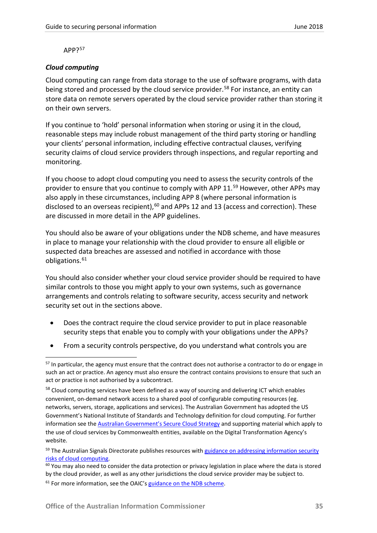APP?[57](#page-35-0)

#### *Cloud computing*

Cloud computing can range from data storage to the use of software programs, with data being stored and processed by the cloud service provider.<sup>[58](#page-35-1)</sup> For instance, an entity can store data on remote servers operated by the cloud service provider rather than storing it on their own servers.

If you continue to 'hold' personal information when storing or using it in the cloud, reasonable steps may include robust management of the third party storing or handling your clients' personal information, including effective contractual clauses, verifying security claims of cloud service providers through inspections, and regular reporting and monitoring.

If you choose to adopt cloud computing you need to assess the security controls of the provider to ensure that you continue to comply with APP 11.<sup>[59](#page-35-2)</sup> However, other APPs may also apply in these circumstances, including APP 8 (where personal information is disclosed to an overseas recipient), $60$  and APPs 12 and 13 (access and correction). These are discussed in more detail in the APP guidelines.

You should also be aware of your obligations under the NDB scheme, and have measures in place to manage your relationship with the cloud provider to ensure all eligible or suspected data breaches are assessed and notified in accordance with those obligations.<sup>[61](#page-35-4)</sup>

You should also consider whether your cloud service provider should be required to have similar controls to those you might apply to your own systems, such as governance arrangements and controls relating to software security, access security and network security set out in the sections above.

- Does the contract require the cloud service provider to put in place reasonable security steps that enable you to comply with your obligations under the APPs?
- From a security controls perspective, do you understand what controls you are

<span id="page-35-0"></span><sup>&</sup>lt;sup>57</sup> In particular, the agency must ensure that the contract does not authorise a contractor to do or engage in such an act or practice. An agency must also ensure the contract contains provisions to ensure that such an act or practice is not authorised by a subcontract.

<span id="page-35-1"></span><sup>&</sup>lt;sup>58</sup> Cloud computing services have been defined as a way of sourcing and delivering ICT which enables convenient, on-demand network access to a shared pool of configurable computing resources (eg. networks, servers, storage, applications and services). The Australian Government has adopted the US Government's National Institute of Standards and Technology definition for cloud computing. For further information see th[e Australian Government's Secure Cloud Strategy](https://www.dta.gov.au/what-we-do/policies-and-programs/secure-cloud/) and supporting material which apply to the use of cloud services by Commonwealth entities, available on the Digital Transformation Agency's website.

<span id="page-35-2"></span><sup>&</sup>lt;sup>59</sup> The Australian Signals Directorate publishes resources with guidance on addressing information security [risks of cloud computing.](https://www.asd.gov.au/infosec/cloudsecurity.htm)<br><sup>60</sup> You may also need to consider the data protection or privacy legislation in place where the data is stored

<span id="page-35-4"></span><span id="page-35-3"></span>by the cloud provider, as well as any other jurisdictions the cloud service provider may be subject to.  $61$  For more information, see the OAIC'[s guidance on the NDB scheme.](https://www.oaic.gov.au/privacy-law/privacy-act/notifiable-data-breaches-scheme)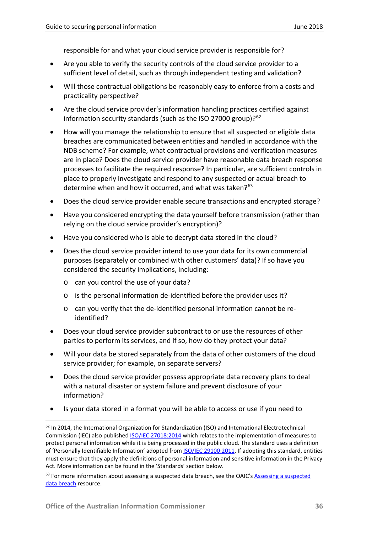responsible for and what your cloud service provider is responsible for?

- Are you able to verify the security controls of the cloud service provider to a sufficient level of detail, such as through independent testing and validation?
- Will those contractual obligations be reasonably easy to enforce from a costs and practicality perspective?
- Are the cloud service provider's information handling practices certified against information security standards (such as the ISO 27000 group)?<sup>[62](#page-36-0)</sup>
- How will you manage the relationship to ensure that all suspected or eligible data breaches are communicated between entities and handled in accordance with the NDB scheme? For example, what contractual provisions and verification measures are in place? Does the cloud service provider have reasonable data breach response processes to facilitate the required response? In particular, are sufficient controls in place to properly investigate and respond to any suspected or actual breach to determine when and how it occurred, and what was taken?<sup>[63](#page-36-1)</sup>
- Does the cloud service provider enable secure transactions and encrypted storage?
- Have you considered encrypting the data yourself before transmission (rather than relying on the cloud service provider's encryption)?
- Have you considered who is able to decrypt data stored in the cloud?
- Does the cloud service provider intend to use your data for its own commercial purposes (separately or combined with other customers' data)? If so have you considered the security implications, including:
	- o can you control the use of your data?
	- o is the personal information de-identified before the provider uses it?
	- o can you verify that the de-identified personal information cannot be reidentified?
- Does your cloud service provider subcontract to or use the resources of other parties to perform its services, and if so, how do they protect your data?
- Will your data be stored separately from the data of other customers of the cloud service provider; for example, on separate servers?
- Does the cloud service provider possess appropriate data recovery plans to deal with a natural disaster or system failure and prevent disclosure of your information?
- Is your data stored in a format you will be able to access or use if you need to

<span id="page-36-0"></span> $62$  In 2014, the International Organization for Standardization (ISO) and International Electrotechnical Commission (IEC) also publishe[d ISO/IEC 27018:2014](http://www.iso.org/iso/catalogue_detail.htm?csnumber=61498) which relates to the implementation of measures to protect personal information while it is being processed in the public cloud. The standard uses a definition of 'Personally Identifiable Information' adopted fro[m ISO/IEC 29100:2011.](http://www.iso.org/iso/home/store/catalogue_tc/catalogue_detail.htm?csnumber=45123) If adopting this standard, entities must ensure that they apply the definitions of personal information and sensitive information in the Privacy Act. More information can be found in the 'Standards' section below.

<span id="page-36-1"></span><sup>&</sup>lt;sup>63</sup> For more information about assessing a suspected data breach, see the OAIC's Assessing a suspected [data breach](https://www.oaic.gov.au/privacy-law/privacy-act/notifiable-data-breaches-scheme/assessing-a-suspected-data-breach) resource.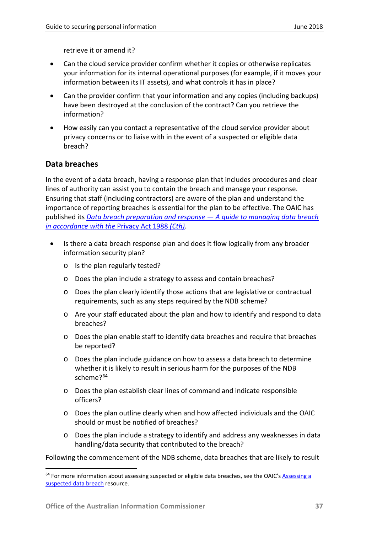retrieve it or amend it?

- Can the cloud service provider confirm whether it copies or otherwise replicates your information for its internal operational purposes (for example, if it moves your information between its IT assets), and what controls it has in place?
- Can the provider confirm that your information and any copies (including backups) have been destroyed at the conclusion of the contract? Can you retrieve the information?
- How easily can you contact a representative of the cloud service provider about privacy concerns or to liaise with in the event of a suspected or eligible data breach?

## <span id="page-37-0"></span>**Data breaches**

In the event of a data breach, having a response plan that includes procedures and clear lines of authority can assist you to contain the breach and manage your response. Ensuring that staff (including contractors) are aware of the plan and understand the importance of reporting breaches is essential for the plan to be effective. The OAIC has published its *[Data breach preparation and response —](https://www.oaic.gov.au/agencies-and-organisations/guides/data-breach-preparation-and-response) A guide to managing data breach [in accordance with the](https://www.oaic.gov.au/agencies-and-organisations/guides/data-breach-preparation-and-response)* Privacy Act 1988 *(Cth)*.

- Is there a data breach response plan and does it flow logically from any broader information security plan?
	- o Is the plan regularly tested?
	- o Does the plan include a strategy to assess and contain breaches?
	- o Does the plan clearly identify those actions that are legislative or contractual requirements, such as any steps required by the NDB scheme?
	- o Are your staff educated about the plan and how to identify and respond to data breaches?
	- $\circ$  Does the plan enable staff to identify data breaches and require that breaches be reported?
	- o Does the plan include guidance on how to assess a data breach to determine whether it is likely to result in serious harm for the purposes of the NDB scheme?<sup>[64](#page-37-1)</sup>
	- o Does the plan establish clear lines of command and indicate responsible officers?
	- o Does the plan outline clearly when and how affected individuals and the OAIC should or must be notified of breaches?
	- o Does the plan include a strategy to identify and address any weaknesses in data handling/data security that contributed to the breach?

Following the commencement of the NDB scheme, data breaches that are likely to result

<span id="page-37-1"></span><sup>&</sup>lt;sup>64</sup> For more information about assessing suspected or eligible data breaches, see the OAIC's Assessing a [suspected data breach](https://www.oaic.gov.au/privacy-law/privacy-act/notifiable-data-breaches-scheme/assessing-a-suspected-data-breach) resource.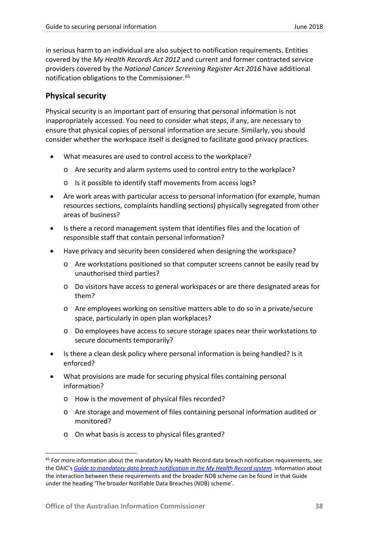in serious harm to an individual are also subject to notification requirements. Entities covered by the *My Health Records Act 2012* and current and former contracted service providers covered by the *National Cancer Screening Register Act 2016* have additional notification obligations to the Commissioner.<sup>[65](#page-38-1)</sup>

## <span id="page-38-0"></span>**Physical security**

Physical security is an important part of ensuring that personal information is not inappropriately accessed. You need to consider what steps, if any, are necessary to ensure that physical copies of personal information are secure. Similarly, you should consider whether the workspace itself is designed to facilitate good privacy practices.

- What measures are used to control access to the workplace?
	- o Are security and alarm systems used to control entry to the workplace?
	- o Is it possible to identify staff movements from access logs?
- Are work areas with particular access to personal information (for example, human resources sections, complaints handling sections) physically segregated from other areas of business?
- Is there a record management system that identifies files and the location of responsible staff that contain personal information?
- Have privacy and security been considered when designing the workspace?
	- o Are workstations positioned so that computer screens cannot be easily read by unauthorised third parties?
	- o Do visitors have access to general workspaces or are there designated areas for them?
	- o Are employees working on sensitive matters able to do so in a private/secure space, particularly in open plan workplaces?
	- o Do employees have access to secure storage spaces near their workstations to secure documents temporarily?
- Is there a clean desk policy where personal information is being handled? Is it enforced?
- What provisions are made for securing physical files containing personal information?
	- o How is the movement of physical files recorded?
	- o Are storage and movement of files containing personal information audited or monitored?
	- o On what basis is access to physical files granted?

<span id="page-38-1"></span><sup>&</sup>lt;sup>65</sup> For more information about the mandatory My Health Record data breach notification requirements, see the OAIC's *[Guide to mandatory data breach notification in the My Health Record system](https://www.oaic.gov.au/agencies-and-organisations/guides/guide-to-mandatory-data-breach-notification-in-the-my-health-record-system)*. Information about the interaction between these requirements and the broader NDB scheme can be found in that Guide under the heading 'The broader Notifiable Data Breaches (NDB) scheme'.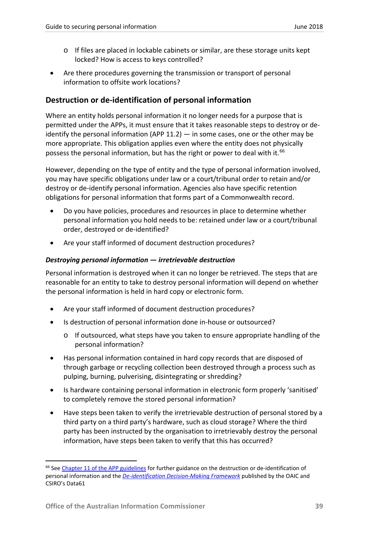- o If files are placed in lockable cabinets or similar, are these storage units kept locked? How is access to keys controlled?
- Are there procedures governing the transmission or transport of personal information to offsite work locations?

## <span id="page-39-0"></span>**Destruction or de-identification of personal information**

Where an entity holds personal information it no longer needs for a purpose that is permitted under the APPs, it must ensure that it takes reasonable steps to destroy or deidentify the personal information (APP  $11.2$ )  $-$  in some cases, one or the other may be more appropriate. This obligation applies even where the entity does not physically possess the personal information, but has the right or power to deal with it.<sup>[66](#page-39-1)</sup>

However, depending on the type of entity and the type of personal information involved, you may have specific obligations under law or a court/tribunal order to retain and/or destroy or de-identify personal information. Agencies also have specific retention obligations for personal information that forms part of a Commonwealth record.

- Do you have policies, procedures and resources in place to determine whether personal information you hold needs to be: retained under law or a court/tribunal order, destroyed or de-identified?
- Are your staff informed of document destruction procedures?

## *Destroying personal information — irretrievable destruction*

Personal information is destroyed when it can no longer be retrieved. The steps that are reasonable for an entity to take to destroy personal information will depend on whether the personal information is held in hard copy or electronic form.

- Are your staff informed of document destruction procedures?
- Is destruction of personal information done in-house or outsourced?
	- o If outsourced, what steps have you taken to ensure appropriate handling of the personal information?
- Has personal information contained in hard copy records that are disposed of through garbage or recycling collection been destroyed through a process such as pulping, burning, pulverising, disintegrating or shredding?
- Is hardware containing personal information in electronic form properly 'sanitised' to completely remove the stored personal information?
- Have steps been taken to verify the irretrievable destruction of personal stored by a third party on a third party's hardware, such as cloud storage? Where the third party has been instructed by the organisation to irretrievably destroy the personal information, have steps been taken to verify that this has occurred?

<span id="page-39-1"></span><sup>&</sup>lt;sup>66</sup> Se[e Chapter 11 of the APP guidelines](https://www.oaic.gov.au/agencies-and-organisations/app-guidelines/chapter-11-app-11-security-of-personal-information) for further guidance on the destruction or de-identification of personal information and the *[De-identification Decision-Making Framework](https://www.oaic.gov.au/agencies-and-organisations/guides/de-identification-decision-making-framework)* published by the OAIC and CSIRO's Data61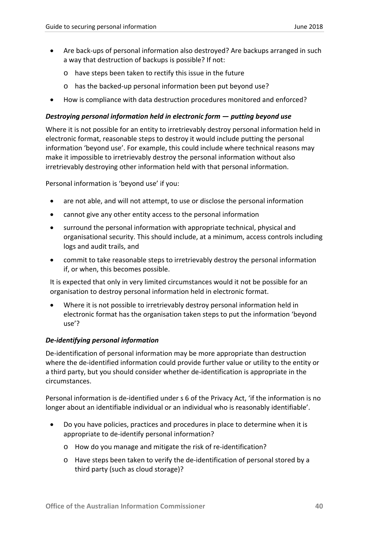- Are back-ups of personal information also destroyed? Are backups arranged in such a way that destruction of backups is possible? If not:
	- o have steps been taken to rectify this issue in the future
	- o has the backed-up personal information been put beyond use?
- How is compliance with data destruction procedures monitored and enforced?

#### *Destroying personal information held in electronic form — putting beyond use*

Where it is not possible for an entity to irretrievably destroy personal information held in electronic format, reasonable steps to destroy it would include putting the personal information 'beyond use'. For example, this could include where technical reasons may make it impossible to irretrievably destroy the personal information without also irretrievably destroying other information held with that personal information.

Personal information is 'beyond use' if you:

- are not able, and will not attempt, to use or disclose the personal information
- cannot give any other entity access to the personal information
- surround the personal information with appropriate technical, physical and organisational security. This should include, at a minimum, access controls including logs and audit trails, and
- commit to take reasonable steps to irretrievably destroy the personal information if, or when, this becomes possible.

It is expected that only in very limited circumstances would it not be possible for an organisation to destroy personal information held in electronic format.

• Where it is not possible to irretrievably destroy personal information held in electronic format has the organisation taken steps to put the information 'beyond use'?

#### *De-identifying personal information*

De-identification of personal information may be more appropriate than destruction where the de-identified information could provide further value or utility to the entity or a third party, but you should consider whether de-identification is appropriate in the circumstances.

Personal information is de-identified under s 6 of the Privacy Act, 'if the information is no longer about an identifiable individual or an individual who is reasonably identifiable'.

- Do you have policies, practices and procedures in place to determine when it is appropriate to de-identify personal information?
	- o How do you manage and mitigate the risk of re-identification?
	- o Have steps been taken to verify the de-identification of personal stored by a third party (such as cloud storage)?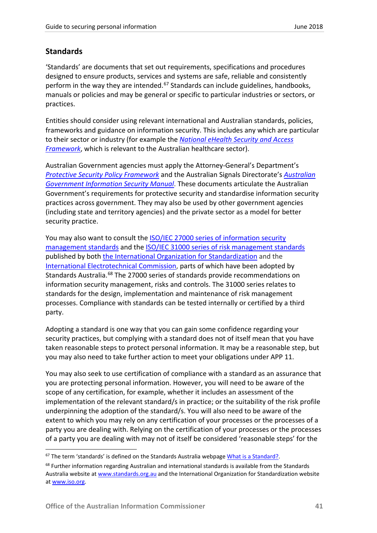## <span id="page-41-0"></span>**Standards**

'Standards' are documents that set out requirements, specifications and procedures designed to ensure products, services and systems are safe, reliable and consistently perform in the way they are intended.<sup>[67](#page-41-1)</sup> Standards can include guidelines, handbooks, manuals or policies and may be general or specific to particular industries or sectors, or practices.

Entities should consider using relevant international and Australian standards, policies, frameworks and guidance on information security. This includes any which are particular to their sector or industry (for example the *[National eHealth Security and Access](https://www.digitalhealth.gov.au/implementation-resources/ehealth-foundations/EP-1544-2014)  [Framework](https://www.digitalhealth.gov.au/implementation-resources/ehealth-foundations/EP-1544-2014)*, which is relevant to the Australian healthcare sector).

Australian Government agencies must apply the Attorney-General's Department's *[Protective Security Policy Framework](https://www.protectivesecurity.gov.au/Pages/default.aspx)* and the Australian Signals Directorate's *[Australian](http://www.asd.gov.au/infosec/ism/index.htm)  [Government Information Security Manual](http://www.asd.gov.au/infosec/ism/index.htm)*. These documents articulate the Australian Government's requirements for protective security and standardise information security practices across government. They may also be used by other government agencies (including state and territory agencies) and the private sector as a model for better security practice.

You may also want to consult the ISO/IEC 27000 series of information security [management standards](http://www.iso.org/iso/home/standards/management-standards/iso27001.htm) and the [ISO/IEC 31000 series of risk management standards](https://www.iso.org/iso-31000-risk-management.html) published by both [the International Organization for Standardization](http://www.iso.org/iso/home.htm) and the [International Electrotechnical Commission,](http://www.iec.ch/) parts of which have been adopted by Standards Australia.<sup>[68](#page-41-2)</sup> The 27000 series of standards provide recommendations on information security management, risks and controls. The 31000 series relates to standards for the design, implementation and maintenance of risk management processes. Compliance with standards can be tested internally or certified by a third party.

Adopting a standard is one way that you can gain some confidence regarding your security practices, but complying with a standard does not of itself mean that you have taken reasonable steps to protect personal information. It may be a reasonable step, but you may also need to take further action to meet your obligations under APP 11.

You may also seek to use certification of compliance with a standard as an assurance that you are protecting personal information. However, you will need to be aware of the scope of any certification, for example, whether it includes an assessment of the implementation of the relevant standard/s in practice; or the suitability of the risk profile underpinning the adoption of the standard/s. You will also need to be aware of the extent to which you may rely on any certification of your processes or the processes of a party you are dealing with. Relying on the certification of your processes or the processes of a party you are dealing with may not of itself be considered 'reasonable steps' for the

<span id="page-41-1"></span> $67$  The term 'standards' is defined on the Standards Australia webpag[e What is a Standard?.](https://www.standards.org.au/standards-development/what-is-standard)

<span id="page-41-2"></span><sup>&</sup>lt;sup>68</sup> Further information regarding Australian and international standards is available from the Standards Australia website at [www.standards.org.au](http://www.standards.org.au/) and the International Organization for Standardization website a[t www.iso.org.](http://www.iso.org/)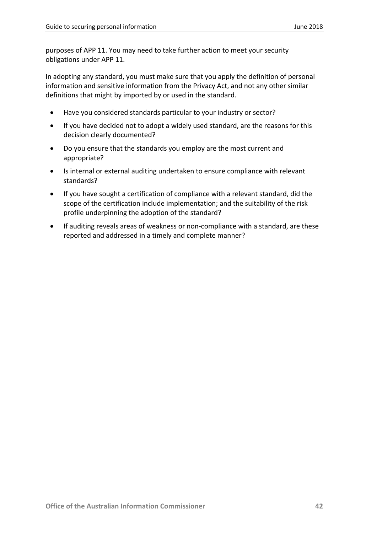purposes of APP 11. You may need to take further action to meet your security obligations under APP 11.

In adopting any standard, you must make sure that you apply the definition of personal information and sensitive information from the Privacy Act, and not any other similar definitions that might by imported by or used in the standard.

- Have you considered standards particular to your industry or sector?
- If you have decided not to adopt a widely used standard, are the reasons for this decision clearly documented?
- Do you ensure that the standards you employ are the most current and appropriate?
- Is internal or external auditing undertaken to ensure compliance with relevant standards?
- If you have sought a certification of compliance with a relevant standard, did the scope of the certification include implementation; and the suitability of the risk profile underpinning the adoption of the standard?
- If auditing reveals areas of weakness or non-compliance with a standard, are these reported and addressed in a timely and complete manner?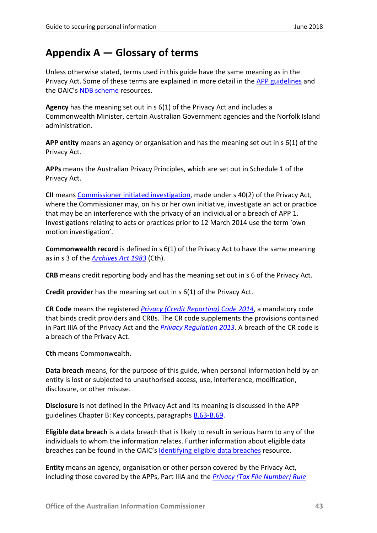## <span id="page-43-0"></span>**Appendix A — Glossary of terms**

Unless otherwise stated, terms used in this guide have the same meaning as in the Privacy Act. Some of these terms are explained in more detail in the [APP guidelines](https://www.oaic.gov.au/agencies-and-organisations/app-guidelines/chapter-b-key-concepts) and the OAIC'[s NDB scheme](https://www.oaic.gov.au/privacy-law/privacy-act/notifiable-data-breaches-scheme) resources[.](http://www.oaic.gov.au/privacy/privacy-engaging-with-you/previous-privacy-consultations/guide-to-undertaking-privacy-impact-assessments/guide-to-undertaking-privacy-impact-assessments#_ftn1)

**Agency** has the meaning set out in s 6(1) of the Privacy Act and includes a Commonwealth Minister, certain Australian Government agencies and the Norfolk Island administration.

**APP entity** means an agency or organisation and has the meaning set out in s 6(1) of the Privacy Act.

**APPs** means the Australian Privacy Principles, which are set out in Schedule 1 of the Privacy Act.

**CII** means [Commissioner initiated investigation,](https://www.oaic.gov.au/privacy-law/commissioner-initiated-investigation-reports/) made under s 40(2) of the Privacy Act, where the Commissioner may, on his or her own initiative, investigate an act or practice that may be an interference with the privacy of an individual or a breach of APP 1. Investigations relating to acts or practices prior to 12 March 2014 use the term 'own motion investigation'.

**Commonwealth record** is defined in s 6(1) of the Privacy Act to have the same meaning as in s 3 of the *[Archives Act 1983](http://www.comlaw.gov.au/Series/C2004A02796)* (Cth).

**CRB** means credit reporting body and has the meaning set out in s 6 of the Privacy Act.

**Credit provider** has the meaning set out in s 6(1) of the Privacy Act.

**CR Code** means the registered *[Privacy \(Credit Reporting\) Code](https://www.oaic.gov.au/privacy-law/privacy-registers/privacy-codes/) 2014*, a mandatory code that binds credit providers and CRBs. The CR code supplements the provisions contained in Part IIIA of the Privacy Act and the *[Privacy Regulation 2013](http://www.comlaw.gov.au/Series/F2013L02126)*. A breach of the CR code is a breach of the Privacy Act.

**Cth** means Commonwealth.

**Data breach** means, for the purpose of this guide, when personal information held by an entity is lost or subjected to unauthorised access, use, interference, modification, disclosure, or other misuse.

**Disclosure** is not defined in the Privacy Act and its meaning is discussed in the APP guidelines Chapter B: Key concepts, paragraphs [B.63-B.69.](https://www.oaic.gov.au/agencies-and-organisations/app-guidelines/chapter-b-key-concepts#disclosure)

**Eligible data breach** is a data breach that is likely to result in serious harm to any of the individuals to whom the information relates. Further information about eligible data breaches can be found in the OAIC's [Identifying eligible data breaches](https://www.oaic.gov.au/privacy-law/privacy-act/notifiable-data-breaches-scheme/identifying-eligible-data-breaches) resource.

**Entity** means an agency, organisation or other person covered by the Privacy Act, including those covered by the APPs, Part IIIA and the *[Privacy \(Tax File Number\) Rule](https://www.legislation.gov.au/Series/F2015L00249)*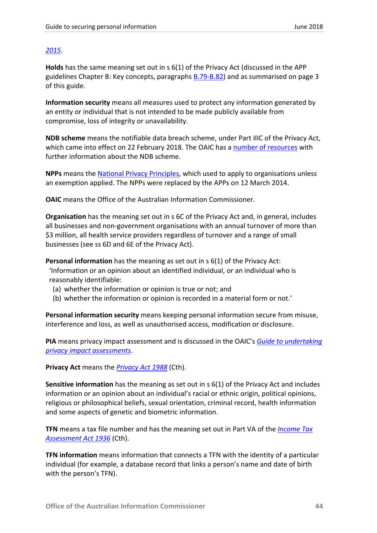## *[2015](https://www.legislation.gov.au/Series/F2015L00249)*.

**Holds** has the same meaning set out in s 6(1) of the Privacy Act (discussed in the APP guidelines Chapter B: Key concepts, paragraphs  $B.79 - B.82$ ) and as summarised on page 3 of this guide.

**Information security** means all measures used to protect any information generated by an entity or individual that is not intended to be made publicly available from compromise, loss of integrity or unavailability.

**NDB scheme** means the notifiable data breach scheme, under Part IIIC of the Privacy Act, which came into effect on 22 February 2018. The OAIC has a [number of resources](https://www.oaic.gov.au/privacy-law/privacy-act/notifiable-data-breaches-scheme/) with further information about the NDB scheme.

**NPPs** means the [National Privacy Principles,](https://www.oaic.gov.au/privacy-law/privacy-archive/privacy-resources-archive/national-privacy-principles) which used to apply to organisations unless an exemption applied. The NPPs were replaced by the APPs on 12 March 2014.

**OAIC** means the Office of the Australian Information Commissioner.

**Organisation** has the meaning set out in s 6C of the Privacy Act and, in general, includes all businesses and non-government organisations with an annual turnover of more than \$3 million, all health service providers regardless of turnover and a range of small businesses (see ss 6D and 6E of the Privacy Act).

**Personal information** has the meaning as set out in s 6(1) of the Privacy Act:

'Information or an opinion about an identified individual, or an individual who is reasonably identifiable:

- (a) whether the information or opinion is true or not; and
- (b) whether the information or opinion is recorded in a material form or not.'

**Personal information security** means keeping personal information secure from misuse, interference and loss, as well as unauthorised access, modification or disclosure.

**PIA** means privacy impact assessment and is discussed in the OAIC's *[Guide to undertaking](https://www.oaic.gov.au/agencies-and-organisations/guides/guide-to-undertaking-privacy-impact-assessments)  [privacy impact assessments](https://www.oaic.gov.au/agencies-and-organisations/guides/guide-to-undertaking-privacy-impact-assessments)*.

**Privacy Act** means the *[Privacy Act 1988](http://www.comlaw.gov.au/Series/C2004A03712)* (Cth).

**Sensitive information** has the meaning as set out in s 6(1) of the Privacy Act and includes information or an opinion about an individual's racial or ethnic origin, political opinions, religious or philosophical beliefs, sexual orientation, criminal record, health information and some aspects of genetic and biometric information.

**TFN** means a tax file number and has the meaning set out in Part VA of the *[Income Tax](http://www.comlaw.gov.au/Series/C1936A00027)  [Assessment Act 1936](http://www.comlaw.gov.au/Series/C1936A00027)* (Cth).

**TFN information** means information that connects a TFN with the identity of a particular individual (for example, a database record that links a person's name and date of birth with the person's TFN).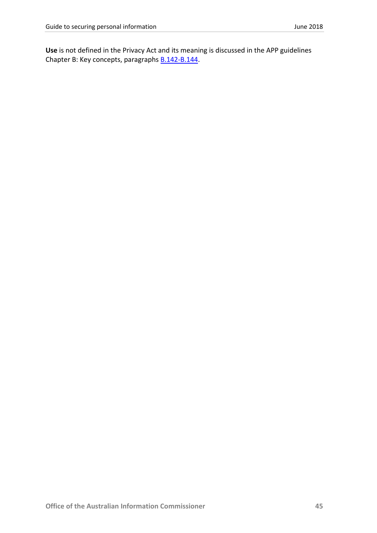**Use** is not defined in the Privacy Act and its meaning is discussed in the APP guidelines Chapter B: Key concepts, paragraphs **B.142-B.144**.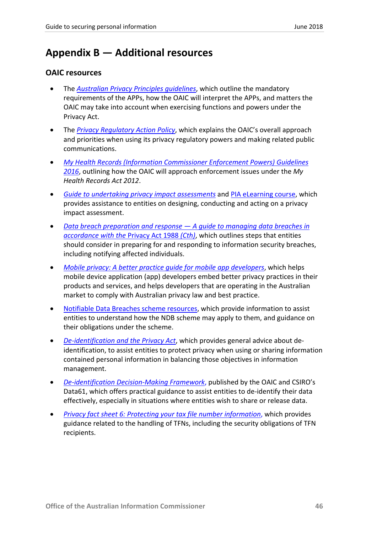## <span id="page-46-0"></span>**Appendix B — Additional resources**

## <span id="page-46-1"></span>**OAIC resources**

- The *[Australian Privacy Principles guidelines](https://www.oaic.gov.au/agencies-and-organisations/app-guidelines/)*, which outline the mandatory requirements of the APPs, how the OAIC will interpret the APPs, and matters the OAIC may take into account when exercising functions and powers under the Privacy Act.
- The *[Privacy Regulatory Action Policy](https://www.oaic.gov.au/about-us/our-regulatory-approach/privacy-regulatory-action-policy/)*, which explains the OAIC's overall approach and priorities when using its privacy regulatory powers and making related public communications.
- *[My Health Records \(Information Commissioner Enforcement Powers\) Guidelines](https://www.legislation.gov.au/Details/F2016L00360)  [2016](https://www.legislation.gov.au/Details/F2016L00360)*, outlining how the OAIC will approach enforcement issues under the *My Health Records Act 2012*.
- *[Guide to undertaking privacy impact assessments](https://www.oaic.gov.au/agencies-and-organisations/guides/guide-to-undertaking-privacy-impact-assessments)* and [PIA eLearning course,](https://www.oaic.gov.au/elearning/pia/) which provides assistance to entities on designing, conducting and acting on a privacy impact assessment.
- *[Data breach preparation and response —](https://www.oaic.gov.au/agencies-and-organisations/guides/data-breach-preparation-and-response) A guide to managing data breaches in [accordance with the](https://www.oaic.gov.au/agencies-and-organisations/guides/data-breach-preparation-and-response)* Privacy Act 1988 *(Cth)*, which outlines steps that entities should consider in preparing for and responding to information security breaches, including notifying affected individuals.
- *[Mobile privacy: A better practice guide for mobile app developers](https://www.oaic.gov.au/agencies-and-organisations/guides/guide-for-mobile-app-developers)*, which helps mobile device application (app) developers embed better privacy practices in their products and services, and helps developers that are operating in the Australian market to comply with Australian privacy law and best practice.
- [Notifiable Data Breaches scheme resources,](https://www.oaic.gov.au/privacy-law/privacy-act/notifiable-data-breaches-scheme) which provide information to assist entities to understand how the NDB scheme may apply to them, and guidance on their obligations under the scheme.
- *[De-identification and the Privacy Act](https://www.oaic.gov.au/agencies-and-organisations/guides/de-identification-and-the-privacy-act)*, which provides general advice about deidentification, to assist entities to protect privacy when using or sharing information contained personal information in balancing those objectives in information management.
- *[De-identification Decision-Making Framework](https://www.oaic.gov.au/agencies-and-organisations/guides/de-identification-decision-making-framework)*, published by the OAIC and CSIRO's Data61, which offers practical guidance to assist entities to de-identify their data effectively, especially in situations where entities wish to share or release data.
- *Privacy fact sheet 6: [Protecting your tax file number information](https://www.oaic.gov.au/individuals/privacy-fact-sheets/general/privacy-fact-sheet-6-protecting-your-tax-file-number-information)*, which provides guidance related to the handling of TFNs, including the security obligations of TFN recipients.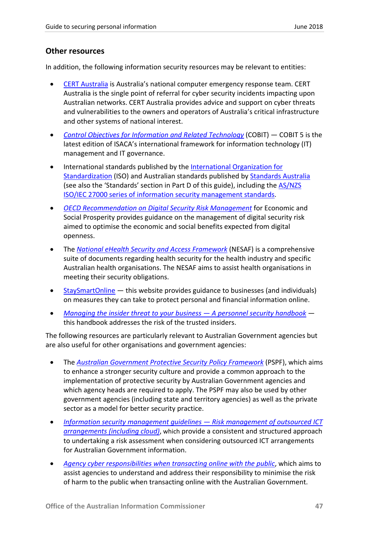## <span id="page-47-0"></span>**Other resources**

In addition, the following information security resources may be relevant to entities:

- [CERT Australia](https://www.cert.gov.au/) is Australia's national computer emergency response team. CERT Australia is the single point of referral for cyber security incidents impacting upon Australian networks. CERT Australia provides advice and support on cyber threats and vulnerabilities to the owners and operators of Australia's critical infrastructure and other systems of national interest.
- *[Control Objectives for Information and Related Technology](http://www.isaca.org/cobit/pages/default.aspx)* (COBIT) COBIT 5 is the latest edition of ISACA's international framework for information technology (IT) management and IT governance.
- International standards published by the [International Organization for](http://www.iso.org/)  [Standardization](http://www.iso.org/) (ISO) and Australian standards published by [Standards Australia](http://www.standards.org.au/) (see also the 'Standards' section in Part D of this guide), including the [AS/NZS](http://www.iso.org/iso/home/standards/management-standards/iso27001.htm)  [ISO/IEC 27000 series of information security management](http://www.iso.org/iso/home/standards/management-standards/iso27001.htm) standards.
- *[OECD Recommendation on Digital Security Risk Management](http://www.oecd.org/sti/ieconomy/digital-security-risk-management.htm)* for Economic and Social Prosperity provides guidance on the management of digital security risk aimed to optimise the economic and social benefits expected from digital openness.
- The *[National eHealth Security and Access Framework](https://www.digitalhealth.gov.au/implementation-resources/ehealth-foundations/EP-1544-2014)* (NESAF) is a comprehensive suite of documents regarding health security for the health industry and specific Australian health organisations. The NESAF aims to assist health organisations in meeting their security obligations.
- $StaySmartOnline$  this website provides guidance to businesses (and individuals) on measures they can take to protect personal and financial information online.
- *[Managing the insider threat to your business —](https://www.protectivesecurity.gov.au/personnelsecurity/Pages/Managingtheinsiderthreattoyourbusiness.aspx) A personnel security handbook* this handbook addresses the risk of the trusted insiders.

The following resources are particularly relevant to Australian Government agencies but are also useful for other organisations and government agencies:

- The *[Australian Government Protective Security Policy Framework](https://www.protectivesecurity.gov.au/Pages/default.aspx)* (PSPF), which aims to enhance a stronger security culture and provide a common approach to the implementation of protective security by Australian Government agencies and which agency heads are required to apply. The PSPF may also be used by other government agencies (including state and territory agencies) as well as the private sector as a model for better security practice.
- *[Information security management guidelines —](https://www.protectivesecurity.gov.au/informationsecurity/Pages/RiskManagementOfOutsourcedICTArrangements-IncludingCloud.aspx) Risk management of outsourced ICT [arrangements \(including cloud\)](https://www.protectivesecurity.gov.au/informationsecurity/Pages/RiskManagementOfOutsourcedICTArrangements-IncludingCloud.aspx)*, which provide a consistent and structured approach to undertaking a risk assessment when considering outsourced ICT arrangements for Australian Government information.
- *Agency cyber [responsibilities when transacting online with the public](https://www.protectivesecurity.gov.au/informationsecurity/Pages/AgencyCyberResponsibilitiesWhenTransactingOnlineWithThePublic.aspx)*, which aims to assist agencies to understand and address their responsibility to minimise the risk of harm to the public when transacting online with the Australian Government.